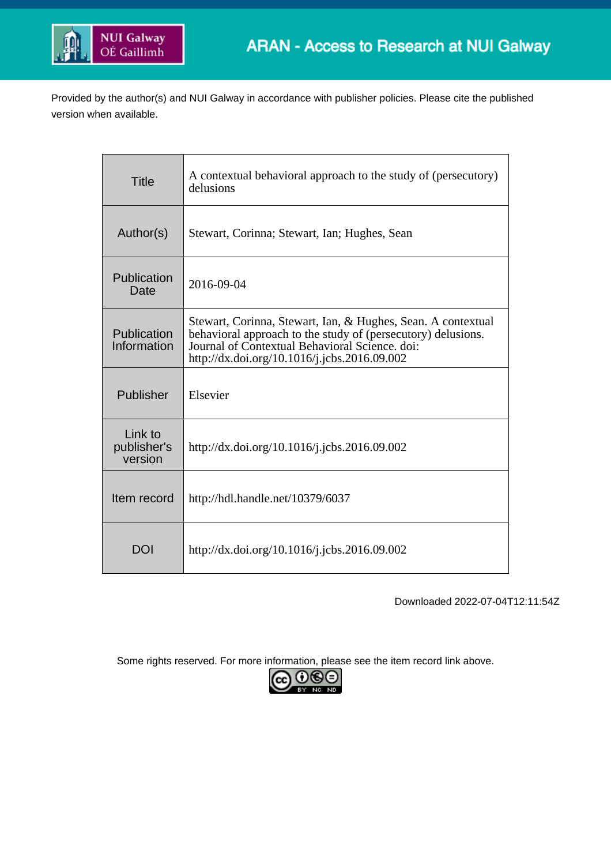

Provided by the author(s) and NUI Galway in accordance with publisher policies. Please cite the published version when available.

| <b>Title</b>                      | A contextual behavioral approach to the study of (persecutory)<br>delusions                                                                                                                                                    |
|-----------------------------------|--------------------------------------------------------------------------------------------------------------------------------------------------------------------------------------------------------------------------------|
| Author(s)                         | Stewart, Corinna; Stewart, Ian; Hughes, Sean                                                                                                                                                                                   |
| Publication<br>Date               | 2016-09-04                                                                                                                                                                                                                     |
| Publication<br>Information        | Stewart, Corinna, Stewart, Ian, & Hughes, Sean. A contextual<br>behavioral approach to the study of (persecutory) delusions.<br>Journal of Contextual Behavioral Science, doi:<br>http://dx.doi.org/10.1016/j.jcbs.2016.09.002 |
| Publisher                         | Elsevier                                                                                                                                                                                                                       |
| Link to<br>publisher's<br>version | http://dx.doi.org/10.1016/j.jcbs.2016.09.002                                                                                                                                                                                   |
| Item record                       | http://hdl.handle.net/10379/6037                                                                                                                                                                                               |
| DOI                               | http://dx.doi.org/10.1016/j.jcbs.2016.09.002                                                                                                                                                                                   |

Downloaded 2022-07-04T12:11:54Z

Some rights reserved. For more information, please see the item record link above.

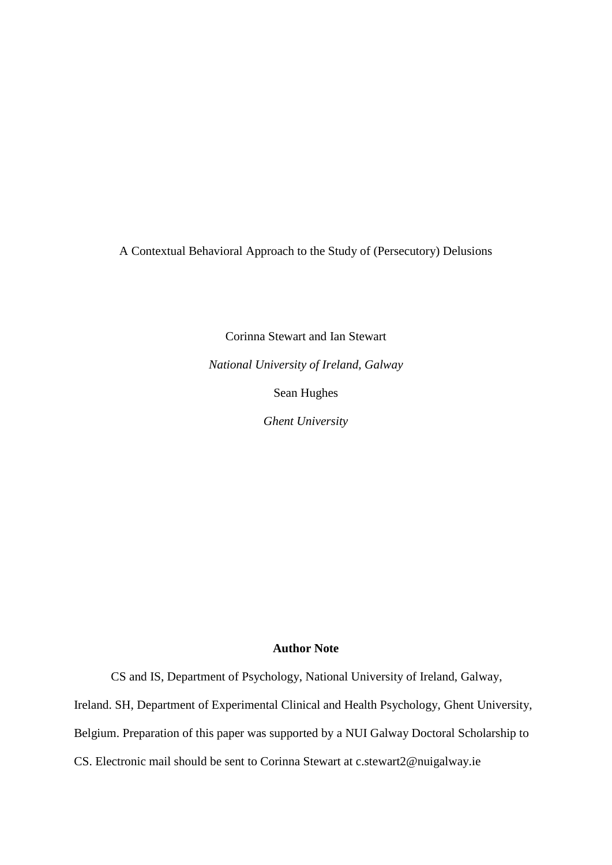A Contextual Behavioral Approach to the Study of (Persecutory) Delusions

Corinna Stewart and Ian Stewart *National University of Ireland, Galway* Sean Hughes

*Ghent University*

# **Author Note**

CS and IS, Department of Psychology, National University of Ireland, Galway,

Ireland. SH, Department of Experimental Clinical and Health Psychology, Ghent University,

Belgium. Preparation of this paper was supported by a NUI Galway Doctoral Scholarship to

CS. Electronic mail should be sent to Corinna Stewart at c.stewart2@nuigalway.ie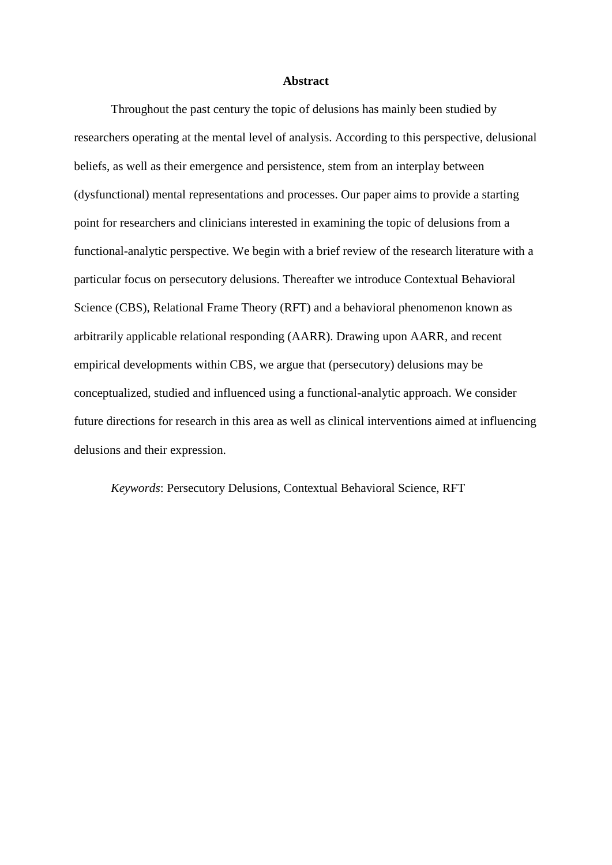### **Abstract**

Throughout the past century the topic of delusions has mainly been studied by researchers operating at the mental level of analysis. According to this perspective, delusional beliefs, as well as their emergence and persistence, stem from an interplay between (dysfunctional) mental representations and processes. Our paper aims to provide a starting point for researchers and clinicians interested in examining the topic of delusions from a functional-analytic perspective. We begin with a brief review of the research literature with a particular focus on persecutory delusions. Thereafter we introduce Contextual Behavioral Science (CBS), Relational Frame Theory (RFT) and a behavioral phenomenon known as arbitrarily applicable relational responding (AARR). Drawing upon AARR, and recent empirical developments within CBS, we argue that (persecutory) delusions may be conceptualized, studied and influenced using a functional-analytic approach. We consider future directions for research in this area as well as clinical interventions aimed at influencing delusions and their expression.

*Keywords*: Persecutory Delusions, Contextual Behavioral Science, RFT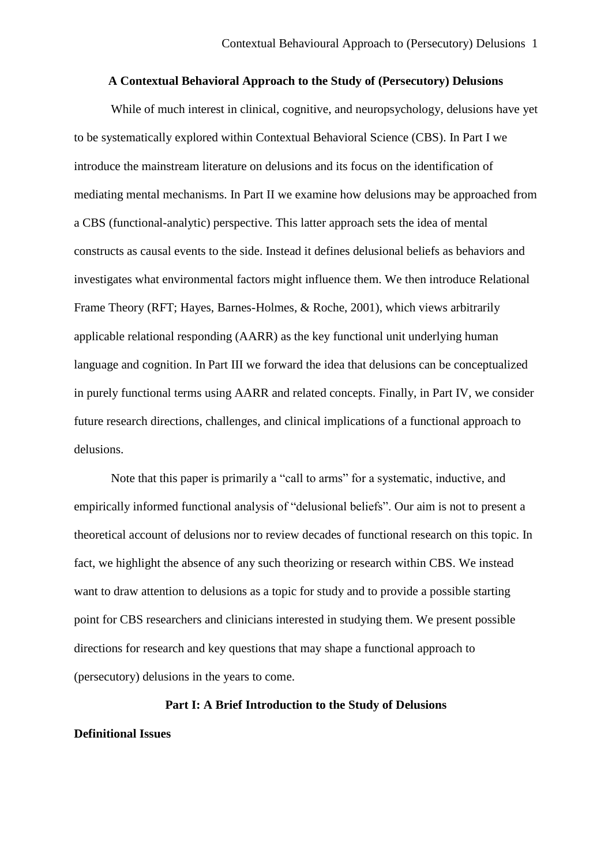#### **A Contextual Behavioral Approach to the Study of (Persecutory) Delusions**

While of much interest in clinical, cognitive, and neuropsychology, delusions have yet to be systematically explored within Contextual Behavioral Science (CBS). In Part I we introduce the mainstream literature on delusions and its focus on the identification of mediating mental mechanisms. In Part II we examine how delusions may be approached from a CBS (functional-analytic) perspective. This latter approach sets the idea of mental constructs as causal events to the side. Instead it defines delusional beliefs as behaviors and investigates what environmental factors might influence them. We then introduce Relational Frame Theory (RFT; Hayes, Barnes-Holmes, & Roche, 2001), which views arbitrarily applicable relational responding (AARR) as the key functional unit underlying human language and cognition. In Part III we forward the idea that delusions can be conceptualized in purely functional terms using AARR and related concepts. Finally, in Part IV, we consider future research directions, challenges, and clinical implications of a functional approach to delusions.

Note that this paper is primarily a "call to arms" for a systematic, inductive, and empirically informed functional analysis of "delusional beliefs". Our aim is not to present a theoretical account of delusions nor to review decades of functional research on this topic. In fact, we highlight the absence of any such theorizing or research within CBS. We instead want to draw attention to delusions as a topic for study and to provide a possible starting point for CBS researchers and clinicians interested in studying them. We present possible directions for research and key questions that may shape a functional approach to (persecutory) delusions in the years to come.

# **Part I: A Brief Introduction to the Study of Delusions**

## **Definitional Issues**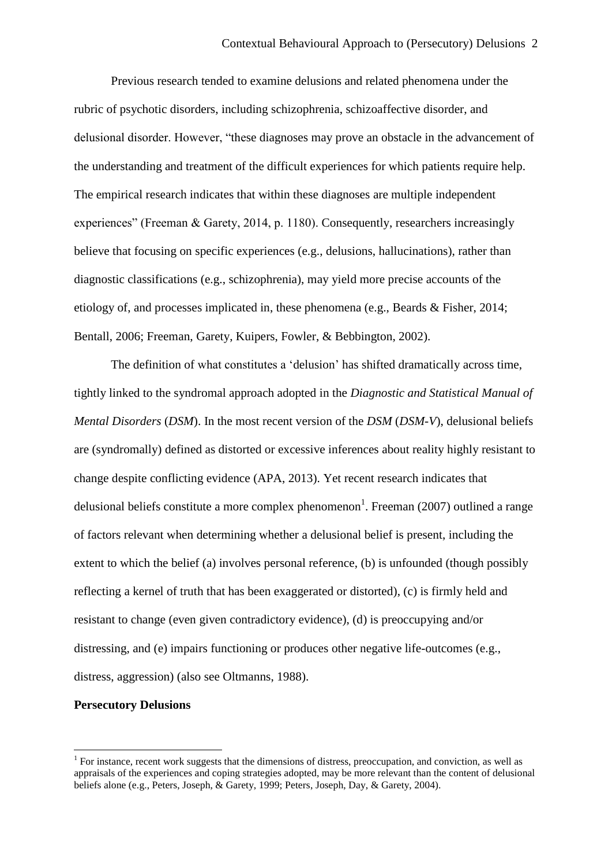Previous research tended to examine delusions and related phenomena under the rubric of psychotic disorders, including schizophrenia, schizoaffective disorder, and delusional disorder. However, "these diagnoses may prove an obstacle in the advancement of the understanding and treatment of the difficult experiences for which patients require help. The empirical research indicates that within these diagnoses are multiple independent experiences" (Freeman & Garety, 2014, p. 1180). Consequently, researchers increasingly believe that focusing on specific experiences (e.g., delusions, hallucinations), rather than diagnostic classifications (e.g., schizophrenia), may yield more precise accounts of the etiology of, and processes implicated in, these phenomena (e.g., Beards & Fisher, 2014; Bentall, 2006; Freeman, Garety, Kuipers, Fowler, & Bebbington, 2002).

The definition of what constitutes a 'delusion' has shifted dramatically across time, tightly linked to the syndromal approach adopted in the *Diagnostic and Statistical Manual of Mental Disorders* (*DSM*). In the most recent version of the *DSM* (*DSM-V*), delusional beliefs are (syndromally) defined as distorted or excessive inferences about reality highly resistant to change despite conflicting evidence (APA, 2013). Yet recent research indicates that delusional beliefs constitute a more complex phenomenon<sup>1</sup>. Freeman (2007) outlined a range of factors relevant when determining whether a delusional belief is present, including the extent to which the belief (a) involves personal reference, (b) is unfounded (though possibly reflecting a kernel of truth that has been exaggerated or distorted), (c) is firmly held and resistant to change (even given contradictory evidence), (d) is preoccupying and/or distressing, and (e) impairs functioning or produces other negative life-outcomes (e.g., distress, aggression) (also see Oltmanns, 1988).

# **Persecutory Delusions**

1

<sup>&</sup>lt;sup>1</sup> For instance, recent work suggests that the dimensions of distress, preoccupation, and conviction, as well as appraisals of the experiences and coping strategies adopted, may be more relevant than the content of delusional beliefs alone (e.g., Peters, Joseph, & Garety, 1999; Peters, Joseph, Day, & Garety, 2004).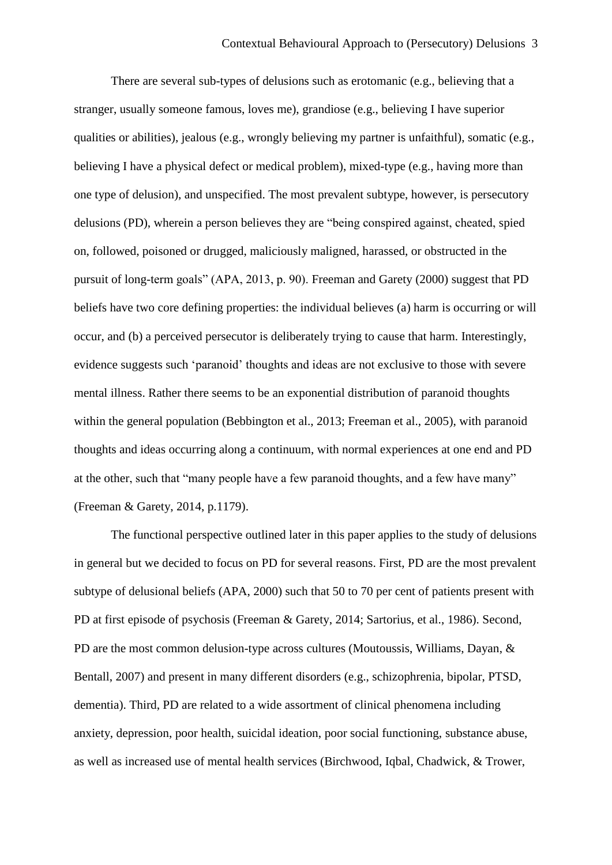There are several sub-types of delusions such as erotomanic (e.g., believing that a stranger, usually someone famous, loves me), grandiose (e.g., believing I have superior qualities or abilities), jealous (e.g., wrongly believing my partner is unfaithful), somatic (e.g., believing I have a physical defect or medical problem), mixed-type (e.g., having more than one type of delusion), and unspecified. The most prevalent subtype, however, is persecutory delusions (PD), wherein a person believes they are "being conspired against, cheated, spied on, followed, poisoned or drugged, maliciously maligned, harassed, or obstructed in the pursuit of long-term goals" (APA, 2013, p. 90). Freeman and Garety (2000) suggest that PD beliefs have two core defining properties: the individual believes (a) harm is occurring or will occur, and (b) a perceived persecutor is deliberately trying to cause that harm. Interestingly, evidence suggests such 'paranoid' thoughts and ideas are not exclusive to those with severe mental illness. Rather there seems to be an exponential distribution of paranoid thoughts within the general population (Bebbington et al., 2013; Freeman et al., 2005), with paranoid thoughts and ideas occurring along a continuum, with normal experiences at one end and PD at the other, such that "many people have a few paranoid thoughts, and a few have many" (Freeman & Garety, 2014, p.1179).

The functional perspective outlined later in this paper applies to the study of delusions in general but we decided to focus on PD for several reasons. First, PD are the most prevalent subtype of delusional beliefs (APA, 2000) such that 50 to 70 per cent of patients present with PD at first episode of psychosis (Freeman & Garety, 2014; Sartorius, et al., 1986). Second, PD are the most common delusion-type across cultures (Moutoussis, Williams, Dayan, & Bentall, 2007) and present in many different disorders (e.g., schizophrenia, bipolar, PTSD, dementia). Third, PD are related to a wide assortment of clinical phenomena including anxiety, depression, poor health, suicidal ideation, poor social functioning, substance abuse, as well as increased use of mental health services (Birchwood, Iqbal, Chadwick, & Trower,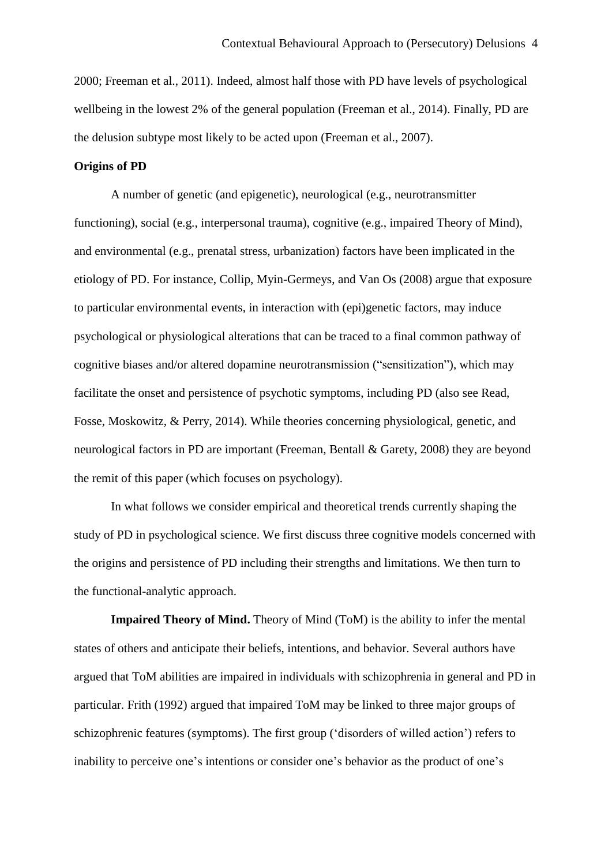2000; Freeman et al., 2011). Indeed, almost half those with PD have levels of psychological wellbeing in the lowest 2% of the general population (Freeman et al., 2014). Finally, PD are the delusion subtype most likely to be acted upon (Freeman et al., 2007).

# **Origins of PD**

A number of genetic (and epigenetic), neurological (e.g., neurotransmitter functioning), social (e.g., interpersonal trauma), cognitive (e.g., impaired Theory of Mind), and environmental (e.g., prenatal stress, urbanization) factors have been implicated in the etiology of PD. For instance, Collip, Myin-Germeys, and Van Os (2008) argue that exposure to particular environmental events, in interaction with (epi)genetic factors, may induce psychological or physiological alterations that can be traced to a final common pathway of cognitive biases and/or altered dopamine neurotransmission ("sensitization"), which may facilitate the onset and persistence of psychotic symptoms, including PD (also see Read, Fosse, Moskowitz, & Perry, 2014). While theories concerning physiological, genetic, and neurological factors in PD are important (Freeman, Bentall & Garety, 2008) they are beyond the remit of this paper (which focuses on psychology).

In what follows we consider empirical and theoretical trends currently shaping the study of PD in psychological science. We first discuss three cognitive models concerned with the origins and persistence of PD including their strengths and limitations. We then turn to the functional-analytic approach.

**Impaired Theory of Mind.** Theory of Mind (ToM) is the ability to infer the mental states of others and anticipate their beliefs, intentions, and behavior. Several authors have argued that ToM abilities are impaired in individuals with schizophrenia in general and PD in particular. Frith (1992) argued that impaired ToM may be linked to three major groups of schizophrenic features (symptoms). The first group ('disorders of willed action') refers to inability to perceive one's intentions or consider one's behavior as the product of one's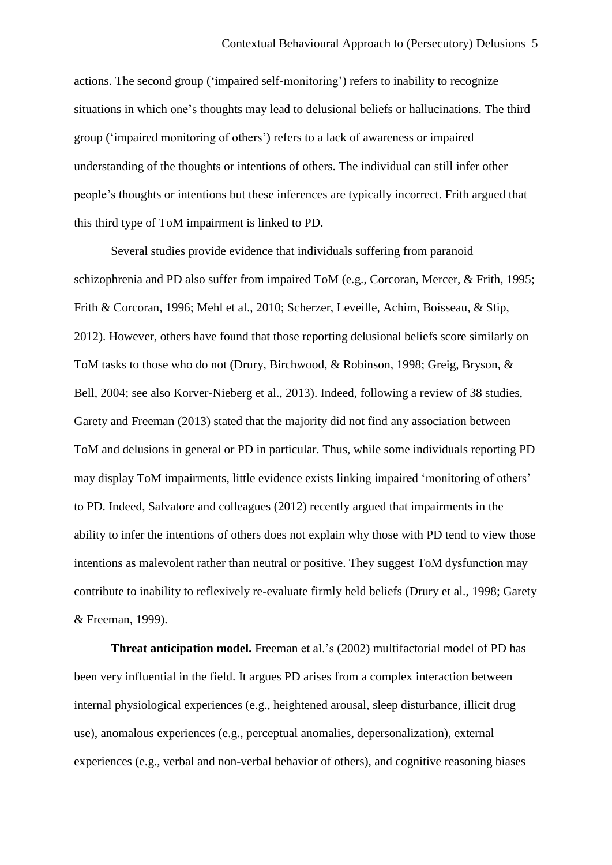actions. The second group ('impaired self-monitoring') refers to inability to recognize situations in which one's thoughts may lead to delusional beliefs or hallucinations. The third group ('impaired monitoring of others') refers to a lack of awareness or impaired understanding of the thoughts or intentions of others. The individual can still infer other people's thoughts or intentions but these inferences are typically incorrect. Frith argued that this third type of ToM impairment is linked to PD.

Several studies provide evidence that individuals suffering from paranoid schizophrenia and PD also suffer from impaired ToM (e.g., Corcoran, Mercer, & Frith, 1995; Frith & Corcoran, 1996; Mehl et al., 2010; Scherzer, Leveille, Achim, Boisseau, & Stip, 2012). However, others have found that those reporting delusional beliefs score similarly on ToM tasks to those who do not (Drury, Birchwood, & Robinson, 1998; Greig, Bryson, & Bell, 2004; see also Korver-Nieberg et al., 2013). Indeed, following a review of 38 studies, Garety and Freeman (2013) stated that the majority did not find any association between ToM and delusions in general or PD in particular. Thus, while some individuals reporting PD may display ToM impairments, little evidence exists linking impaired 'monitoring of others' to PD. Indeed, Salvatore and colleagues (2012) recently argued that impairments in the ability to infer the intentions of others does not explain why those with PD tend to view those intentions as malevolent rather than neutral or positive. They suggest ToM dysfunction may contribute to inability to reflexively re-evaluate firmly held beliefs (Drury et al., 1998; Garety & Freeman, 1999).

**Threat anticipation model.** Freeman et al.'s (2002) multifactorial model of PD has been very influential in the field. It argues PD arises from a complex interaction between internal physiological experiences (e.g., heightened arousal, sleep disturbance, illicit drug use), anomalous experiences (e.g., perceptual anomalies, depersonalization), external experiences (e.g., verbal and non-verbal behavior of others), and cognitive reasoning biases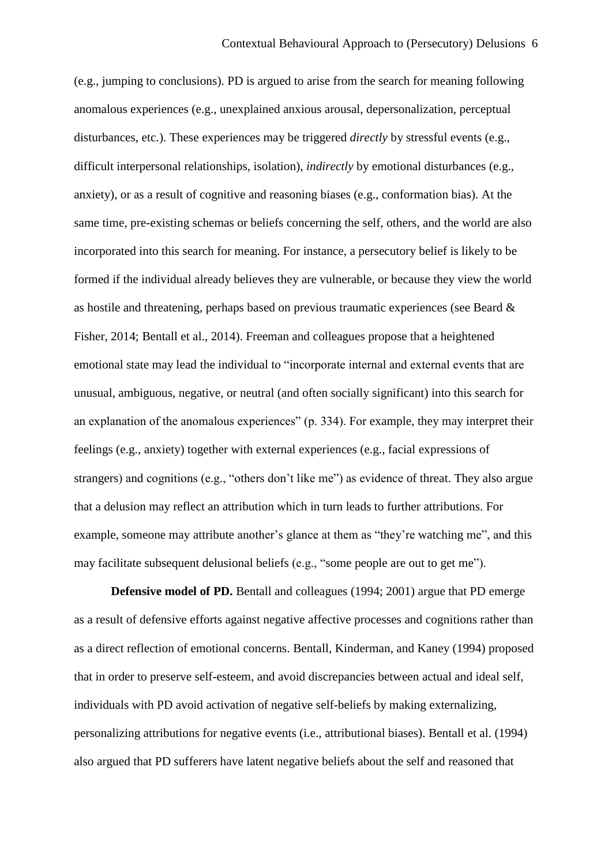(e.g., jumping to conclusions). PD is argued to arise from the search for meaning following anomalous experiences (e.g., unexplained anxious arousal, depersonalization, perceptual disturbances, etc.). These experiences may be triggered *directly* by stressful events (e.g., difficult interpersonal relationships, isolation), *indirectly* by emotional disturbances (e.g., anxiety), or as a result of cognitive and reasoning biases (e.g., conformation bias). At the same time, pre-existing schemas or beliefs concerning the self, others, and the world are also incorporated into this search for meaning. For instance, a persecutory belief is likely to be formed if the individual already believes they are vulnerable, or because they view the world as hostile and threatening, perhaps based on previous traumatic experiences (see Beard & Fisher, 2014; Bentall et al., 2014). Freeman and colleagues propose that a heightened emotional state may lead the individual to "incorporate internal and external events that are unusual, ambiguous, negative, or neutral (and often socially significant) into this search for an explanation of the anomalous experiences" (p. 334). For example, they may interpret their feelings (e.g., anxiety) together with external experiences (e.g., facial expressions of strangers) and cognitions (e.g., "others don't like me") as evidence of threat. They also argue that a delusion may reflect an attribution which in turn leads to further attributions. For example, someone may attribute another's glance at them as "they're watching me", and this may facilitate subsequent delusional beliefs (e.g., "some people are out to get me").

**Defensive model of PD.** Bentall and colleagues (1994; 2001) argue that PD emerge as a result of defensive efforts against negative affective processes and cognitions rather than as a direct reflection of emotional concerns. Bentall, Kinderman, and Kaney (1994) proposed that in order to preserve self-esteem, and avoid discrepancies between actual and ideal self, individuals with PD avoid activation of negative self-beliefs by making externalizing, personalizing attributions for negative events (i.e., attributional biases). Bentall et al. (1994) also argued that PD sufferers have latent negative beliefs about the self and reasoned that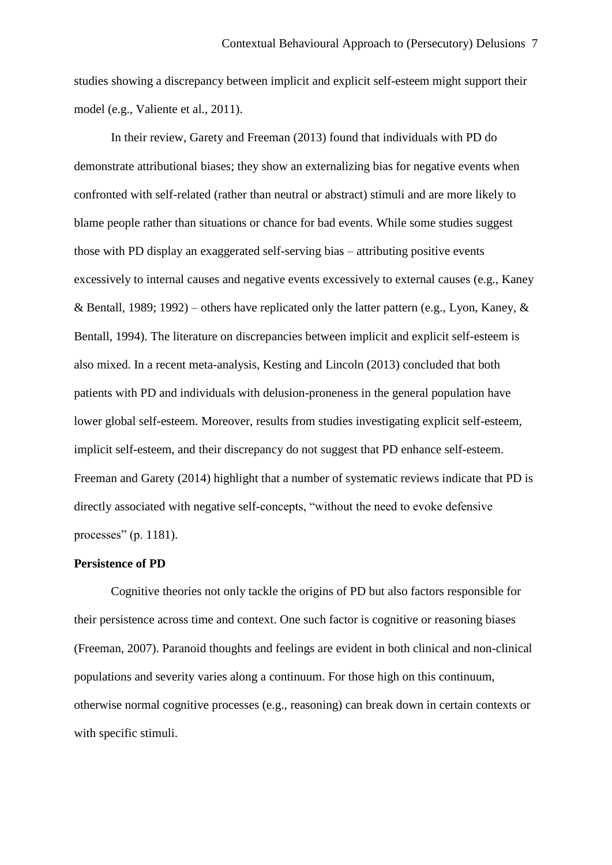studies showing a discrepancy between implicit and explicit self-esteem might support their model (e.g., Valiente et al., 2011).

In their review, Garety and Freeman (2013) found that individuals with PD do demonstrate attributional biases; they show an externalizing bias for negative events when confronted with self-related (rather than neutral or abstract) stimuli and are more likely to blame people rather than situations or chance for bad events. While some studies suggest those with PD display an exaggerated self-serving bias – attributing positive events excessively to internal causes and negative events excessively to external causes (e.g., Kaney & Bentall, 1989; 1992) – others have replicated only the latter pattern (e.g., Lyon, Kaney, & Bentall, 1994). The literature on discrepancies between implicit and explicit self-esteem is also mixed. In a recent meta-analysis, Kesting and Lincoln (2013) concluded that both patients with PD and individuals with delusion-proneness in the general population have lower global self-esteem. Moreover, results from studies investigating explicit self-esteem, implicit self-esteem, and their discrepancy do not suggest that PD enhance self-esteem. Freeman and Garety (2014) highlight that a number of systematic reviews indicate that PD is directly associated with negative self-concepts, "without the need to evoke defensive processes" (p. 1181).

# **Persistence of PD**

Cognitive theories not only tackle the origins of PD but also factors responsible for their persistence across time and context. One such factor is cognitive or reasoning biases (Freeman, 2007). Paranoid thoughts and feelings are evident in both clinical and non-clinical populations and severity varies along a continuum. For those high on this continuum, otherwise normal cognitive processes (e.g., reasoning) can break down in certain contexts or with specific stimuli.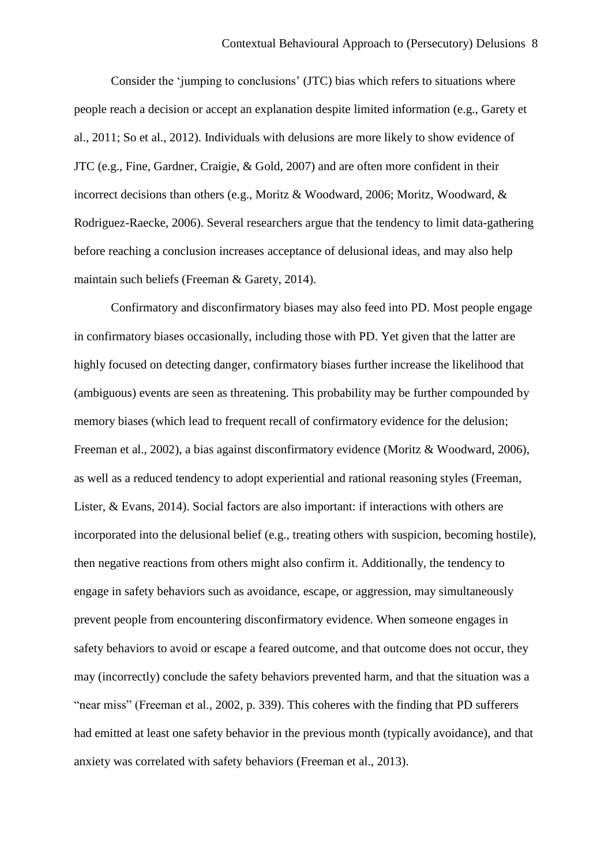Consider the 'jumping to conclusions' (JTC) bias which refers to situations where people reach a decision or accept an explanation despite limited information (e.g., Garety et al., 2011; So et al., 2012). Individuals with delusions are more likely to show evidence of JTC (e.g., Fine, Gardner, Craigie, & Gold, 2007) and are often more confident in their incorrect decisions than others (e.g., Moritz & Woodward, 2006; Moritz, Woodward, & Rodriguez-Raecke, 2006). Several researchers argue that the tendency to limit data-gathering before reaching a conclusion increases acceptance of delusional ideas, and may also help maintain such beliefs (Freeman & Garety, 2014).

Confirmatory and disconfirmatory biases may also feed into PD. Most people engage in confirmatory biases occasionally, including those with PD. Yet given that the latter are highly focused on detecting danger, confirmatory biases further increase the likelihood that (ambiguous) events are seen as threatening. This probability may be further compounded by memory biases (which lead to frequent recall of confirmatory evidence for the delusion; Freeman et al., 2002), a bias against disconfirmatory evidence (Moritz & Woodward, 2006), as well as a reduced tendency to adopt experiential and rational reasoning styles (Freeman, Lister, & Evans, 2014). Social factors are also important: if interactions with others are incorporated into the delusional belief (e.g., treating others with suspicion, becoming hostile), then negative reactions from others might also confirm it. Additionally, the tendency to engage in safety behaviors such as avoidance, escape, or aggression, may simultaneously prevent people from encountering disconfirmatory evidence. When someone engages in safety behaviors to avoid or escape a feared outcome, and that outcome does not occur, they may (incorrectly) conclude the safety behaviors prevented harm, and that the situation was a "near miss" (Freeman et al., 2002, p. 339). This coheres with the finding that PD sufferers had emitted at least one safety behavior in the previous month (typically avoidance), and that anxiety was correlated with safety behaviors (Freeman et al., 2013).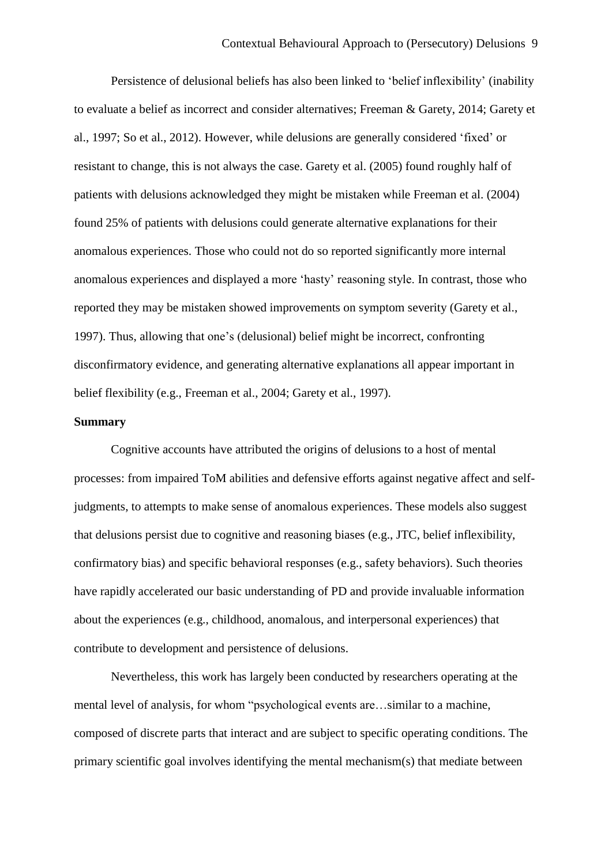Persistence of delusional beliefs has also been linked to 'belief inflexibility' (inability to evaluate a belief as incorrect and consider alternatives; Freeman & Garety, 2014; Garety et al., 1997; So et al., 2012). However, while delusions are generally considered 'fixed' or resistant to change, this is not always the case. Garety et al. (2005) found roughly half of patients with delusions acknowledged they might be mistaken while Freeman et al. (2004) found 25% of patients with delusions could generate alternative explanations for their anomalous experiences. Those who could not do so reported significantly more internal anomalous experiences and displayed a more 'hasty' reasoning style. In contrast, those who reported they may be mistaken showed improvements on symptom severity (Garety et al., 1997). Thus, allowing that one's (delusional) belief might be incorrect, confronting disconfirmatory evidence, and generating alternative explanations all appear important in belief flexibility (e.g., Freeman et al., 2004; Garety et al., 1997).

# **Summary**

Cognitive accounts have attributed the origins of delusions to a host of mental processes: from impaired ToM abilities and defensive efforts against negative affect and selfjudgments, to attempts to make sense of anomalous experiences. These models also suggest that delusions persist due to cognitive and reasoning biases (e.g., JTC, belief inflexibility, confirmatory bias) and specific behavioral responses (e.g., safety behaviors). Such theories have rapidly accelerated our basic understanding of PD and provide invaluable information about the experiences (e.g., childhood, anomalous, and interpersonal experiences) that contribute to development and persistence of delusions.

Nevertheless, this work has largely been conducted by researchers operating at the mental level of analysis, for whom "psychological events are…similar to a machine, composed of discrete parts that interact and are subject to specific operating conditions. The primary scientific goal involves identifying the mental mechanism(s) that mediate between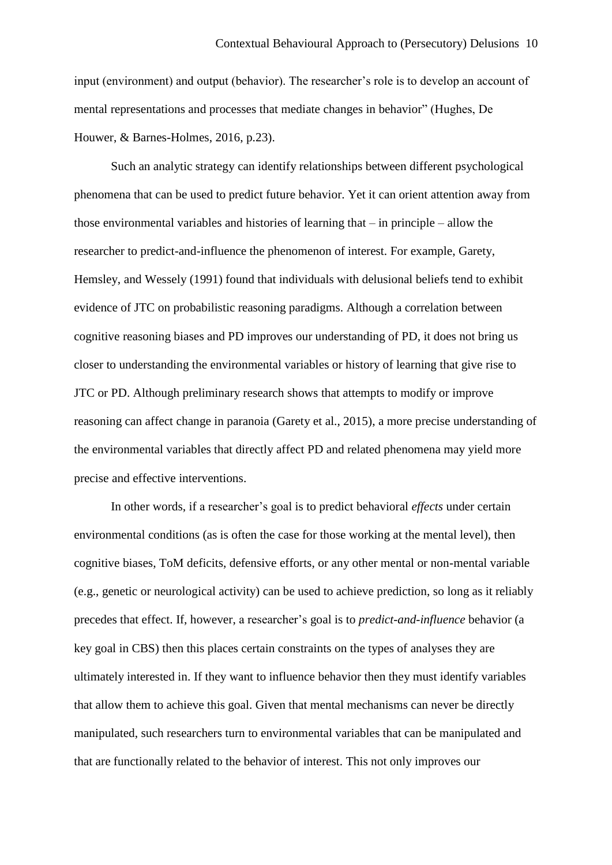input (environment) and output (behavior). The researcher's role is to develop an account of mental representations and processes that mediate changes in behavior" (Hughes, De Houwer, & Barnes-Holmes, 2016, p.23).

Such an analytic strategy can identify relationships between different psychological phenomena that can be used to predict future behavior. Yet it can orient attention away from those environmental variables and histories of learning that – in principle – allow the researcher to predict-and-influence the phenomenon of interest. For example, Garety, Hemsley, and Wessely (1991) found that individuals with delusional beliefs tend to exhibit evidence of JTC on probabilistic reasoning paradigms. Although a correlation between cognitive reasoning biases and PD improves our understanding of PD, it does not bring us closer to understanding the environmental variables or history of learning that give rise to JTC or PD. Although preliminary research shows that attempts to modify or improve reasoning can affect change in paranoia (Garety et al., 2015), a more precise understanding of the environmental variables that directly affect PD and related phenomena may yield more precise and effective interventions.

In other words, if a researcher's goal is to predict behavioral *effects* under certain environmental conditions (as is often the case for those working at the mental level), then cognitive biases, ToM deficits, defensive efforts, or any other mental or non-mental variable (e.g., genetic or neurological activity) can be used to achieve prediction, so long as it reliably precedes that effect. If, however, a researcher's goal is to *predict-and-influence* behavior (a key goal in CBS) then this places certain constraints on the types of analyses they are ultimately interested in. If they want to influence behavior then they must identify variables that allow them to achieve this goal. Given that mental mechanisms can never be directly manipulated, such researchers turn to environmental variables that can be manipulated and that are functionally related to the behavior of interest. This not only improves our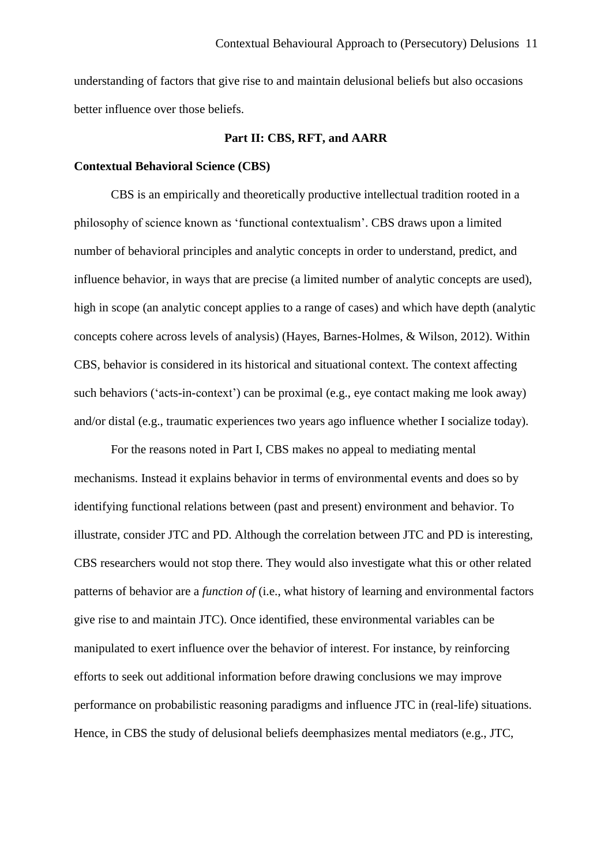understanding of factors that give rise to and maintain delusional beliefs but also occasions better influence over those beliefs.

## **Part II: CBS, RFT, and AARR**

## **Contextual Behavioral Science (CBS)**

CBS is an empirically and theoretically productive intellectual tradition rooted in a philosophy of science known as 'functional contextualism'. CBS draws upon a limited number of behavioral principles and analytic concepts in order to understand, predict, and influence behavior, in ways that are precise (a limited number of analytic concepts are used), high in scope (an analytic concept applies to a range of cases) and which have depth (analytic concepts cohere across levels of analysis) (Hayes, Barnes-Holmes, & Wilson, 2012). Within CBS, behavior is considered in its historical and situational context. The context affecting such behaviors ('acts-in-context') can be proximal (e.g., eye contact making me look away) and/or distal (e.g., traumatic experiences two years ago influence whether I socialize today).

For the reasons noted in Part I, CBS makes no appeal to mediating mental mechanisms. Instead it explains behavior in terms of environmental events and does so by identifying functional relations between (past and present) environment and behavior. To illustrate, consider JTC and PD. Although the correlation between JTC and PD is interesting, CBS researchers would not stop there. They would also investigate what this or other related patterns of behavior are a *function of* (i.e., what history of learning and environmental factors give rise to and maintain JTC). Once identified, these environmental variables can be manipulated to exert influence over the behavior of interest. For instance, by reinforcing efforts to seek out additional information before drawing conclusions we may improve performance on probabilistic reasoning paradigms and influence JTC in (real-life) situations. Hence, in CBS the study of delusional beliefs deemphasizes mental mediators (e.g., JTC,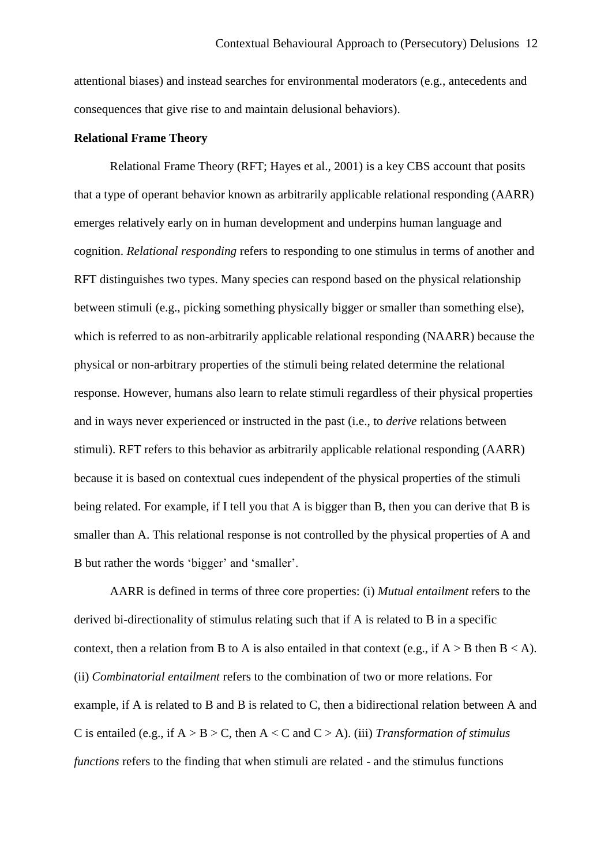attentional biases) and instead searches for environmental moderators (e.g., antecedents and consequences that give rise to and maintain delusional behaviors).

## **Relational Frame Theory**

Relational Frame Theory (RFT; Hayes et al., 2001) is a key CBS account that posits that a type of operant behavior known as arbitrarily applicable relational responding (AARR) emerges relatively early on in human development and underpins human language and cognition. *Relational responding* refers to responding to one stimulus in terms of another and RFT distinguishes two types. Many species can respond based on the physical relationship between stimuli (e.g., picking something physically bigger or smaller than something else), which is referred to as non-arbitrarily applicable relational responding (NAARR) because the physical or non-arbitrary properties of the stimuli being related determine the relational response. However, humans also learn to relate stimuli regardless of their physical properties and in ways never experienced or instructed in the past (i.e., to *derive* relations between stimuli). RFT refers to this behavior as arbitrarily applicable relational responding (AARR) because it is based on contextual cues independent of the physical properties of the stimuli being related. For example, if I tell you that A is bigger than B, then you can derive that B is smaller than A. This relational response is not controlled by the physical properties of A and B but rather the words 'bigger' and 'smaller'.

AARR is defined in terms of three core properties: (i) *Mutual entailment* refers to the derived bi-directionality of stimulus relating such that if A is related to B in a specific context, then a relation from B to A is also entailed in that context (e.g., if  $A > B$  then  $B < A$ ). (ii) *Combinatorial entailment* refers to the combination of two or more relations. For example, if A is related to B and B is related to C, then a bidirectional relation between A and C is entailed (e.g., if A > B > C, then A < C and C > A). (iii) *Transformation of stimulus functions* refers to the finding that when stimuli are related - and the stimulus functions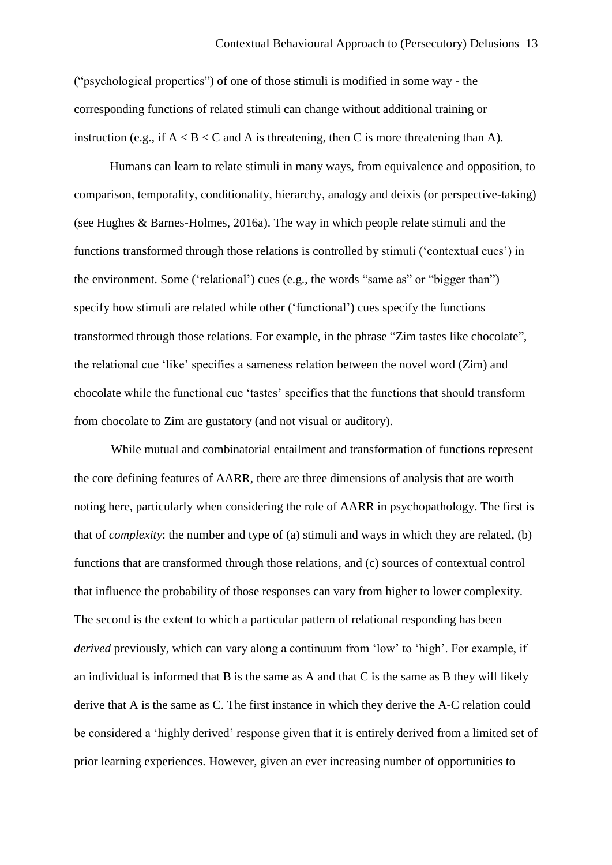("psychological properties") of one of those stimuli is modified in some way - the corresponding functions of related stimuli can change without additional training or instruction (e.g., if  $A < B < C$  and A is threatening, then C is more threatening than A).

Humans can learn to relate stimuli in many ways, from equivalence and opposition, to comparison, temporality, conditionality, hierarchy, analogy and deixis (or perspective-taking) (see Hughes & Barnes-Holmes, 2016a). The way in which people relate stimuli and the functions transformed through those relations is controlled by stimuli ('contextual cues') in the environment. Some ('relational') cues (e.g., the words "same as" or "bigger than") specify how stimuli are related while other ('functional') cues specify the functions transformed through those relations. For example, in the phrase "Zim tastes like chocolate", the relational cue 'like' specifies a sameness relation between the novel word (Zim) and chocolate while the functional cue 'tastes' specifies that the functions that should transform from chocolate to Zim are gustatory (and not visual or auditory).

While mutual and combinatorial entailment and transformation of functions represent the core defining features of AARR, there are three dimensions of analysis that are worth noting here, particularly when considering the role of AARR in psychopathology. The first is that of *complexity*: the number and type of (a) stimuli and ways in which they are related, (b) functions that are transformed through those relations, and (c) sources of contextual control that influence the probability of those responses can vary from higher to lower complexity. The second is the extent to which a particular pattern of relational responding has been *derived* previously, which can vary along a continuum from 'low' to 'high'. For example, if an individual is informed that B is the same as A and that C is the same as B they will likely derive that A is the same as C. The first instance in which they derive the A-C relation could be considered a 'highly derived' response given that it is entirely derived from a limited set of prior learning experiences. However, given an ever increasing number of opportunities to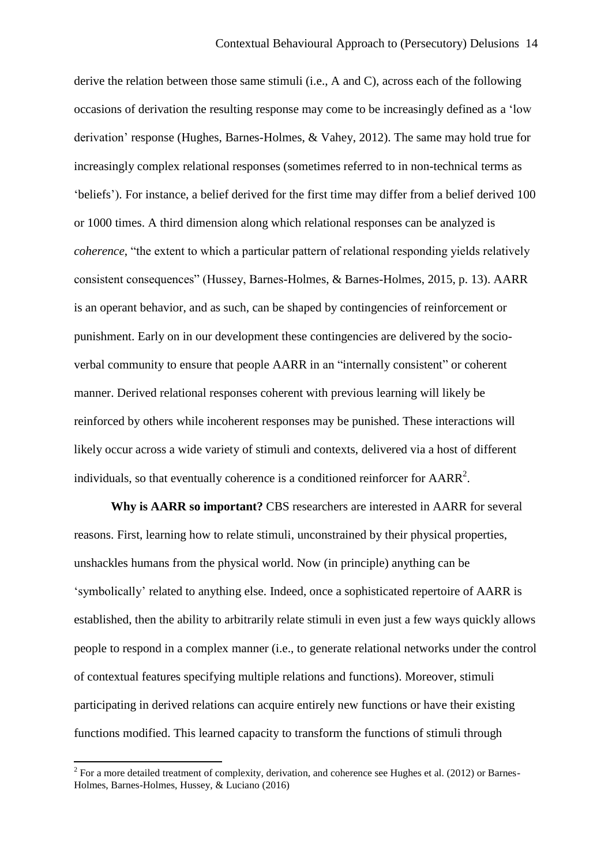derive the relation between those same stimuli (i.e., A and C), across each of the following occasions of derivation the resulting response may come to be increasingly defined as a 'low derivation' response (Hughes, Barnes-Holmes, & Vahey, 2012). The same may hold true for increasingly complex relational responses (sometimes referred to in non-technical terms as 'beliefs'). For instance, a belief derived for the first time may differ from a belief derived 100 or 1000 times. A third dimension along which relational responses can be analyzed is *coherence*, "the extent to which a particular pattern of relational responding yields relatively consistent consequences" (Hussey, Barnes-Holmes, & Barnes-Holmes, 2015, p. 13). AARR is an operant behavior, and as such, can be shaped by contingencies of reinforcement or punishment. Early on in our development these contingencies are delivered by the socioverbal community to ensure that people AARR in an "internally consistent" or coherent manner. Derived relational responses coherent with previous learning will likely be reinforced by others while incoherent responses may be punished. These interactions will likely occur across a wide variety of stimuli and contexts, delivered via a host of different individuals, so that eventually coherence is a conditioned reinforcer for  $AARR<sup>2</sup>$ .

**Why is AARR so important?** CBS researchers are interested in AARR for several reasons. First, learning how to relate stimuli, unconstrained by their physical properties, unshackles humans from the physical world. Now (in principle) anything can be 'symbolically' related to anything else. Indeed, once a sophisticated repertoire of AARR is established, then the ability to arbitrarily relate stimuli in even just a few ways quickly allows people to respond in a complex manner (i.e., to generate relational networks under the control of contextual features specifying multiple relations and functions). Moreover, stimuli participating in derived relations can acquire entirely new functions or have their existing functions modified. This learned capacity to transform the functions of stimuli through

<sup>&</sup>lt;sup>2</sup> For a more detailed treatment of complexity, derivation, and coherence see Hughes et al. (2012) or Barnes-Holmes, Barnes-Holmes, Hussey, & Luciano (2016)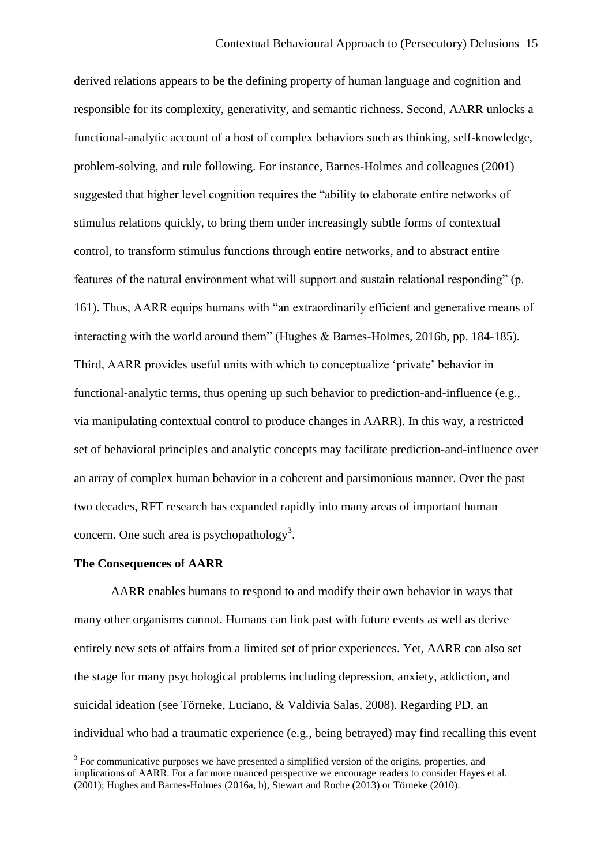derived relations appears to be the defining property of human language and cognition and responsible for its complexity, generativity, and semantic richness. Second, AARR unlocks a functional-analytic account of a host of complex behaviors such as thinking, self-knowledge, problem-solving, and rule following. For instance, Barnes-Holmes and colleagues (2001) suggested that higher level cognition requires the "ability to elaborate entire networks of stimulus relations quickly, to bring them under increasingly subtle forms of contextual control, to transform stimulus functions through entire networks, and to abstract entire features of the natural environment what will support and sustain relational responding" (p. 161). Thus, AARR equips humans with "an extraordinarily efficient and generative means of interacting with the world around them" (Hughes & Barnes-Holmes, 2016b, pp. 184-185). Third, AARR provides useful units with which to conceptualize 'private' behavior in functional-analytic terms, thus opening up such behavior to prediction-and-influence (e.g., via manipulating contextual control to produce changes in AARR). In this way, a restricted set of behavioral principles and analytic concepts may facilitate prediction-and-influence over an array of complex human behavior in a coherent and parsimonious manner. Over the past two decades, RFT research has expanded rapidly into many areas of important human concern. One such area is psychopathology<sup>3</sup>.

#### **The Consequences of AARR**

1

AARR enables humans to respond to and modify their own behavior in ways that many other organisms cannot. Humans can link past with future events as well as derive entirely new sets of affairs from a limited set of prior experiences. Yet, AARR can also set the stage for many psychological problems including depression, anxiety, addiction, and suicidal ideation (see Törneke, Luciano, & Valdivia Salas, 2008). Regarding PD, an individual who had a traumatic experience (e.g., being betrayed) may find recalling this event

 $3$  For communicative purposes we have presented a simplified version of the origins, properties, and implications of AARR. For a far more nuanced perspective we encourage readers to consider Hayes et al. (2001); Hughes and Barnes-Holmes (2016a, b), Stewart and Roche (2013) or Törneke (2010).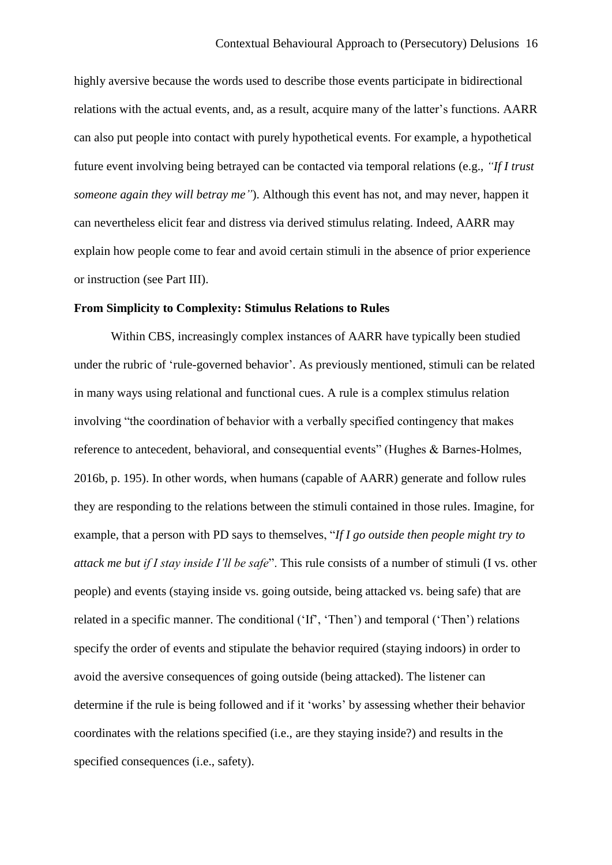highly aversive because the words used to describe those events participate in bidirectional relations with the actual events, and, as a result, acquire many of the latter's functions. AARR can also put people into contact with purely hypothetical events. For example, a hypothetical future event involving being betrayed can be contacted via temporal relations (e.g., *"If I trust someone again they will betray me"*). Although this event has not, and may never, happen it can nevertheless elicit fear and distress via derived stimulus relating. Indeed, AARR may explain how people come to fear and avoid certain stimuli in the absence of prior experience or instruction (see Part III).

#### **From Simplicity to Complexity: Stimulus Relations to Rules**

Within CBS, increasingly complex instances of AARR have typically been studied under the rubric of 'rule-governed behavior'. As previously mentioned, stimuli can be related in many ways using relational and functional cues. A rule is a complex stimulus relation involving "the coordination of behavior with a verbally specified contingency that makes reference to antecedent, behavioral, and consequential events" (Hughes & Barnes-Holmes, 2016b, p. 195). In other words, when humans (capable of AARR) generate and follow rules they are responding to the relations between the stimuli contained in those rules. Imagine, for example, that a person with PD says to themselves, "*If I go outside then people might try to attack me but if I stay inside I'll be safe*". This rule consists of a number of stimuli (I vs. other people) and events (staying inside vs. going outside, being attacked vs. being safe) that are related in a specific manner. The conditional ('If', 'Then') and temporal ('Then') relations specify the order of events and stipulate the behavior required (staying indoors) in order to avoid the aversive consequences of going outside (being attacked). The listener can determine if the rule is being followed and if it 'works' by assessing whether their behavior coordinates with the relations specified (i.e., are they staying inside?) and results in the specified consequences (i.e., safety).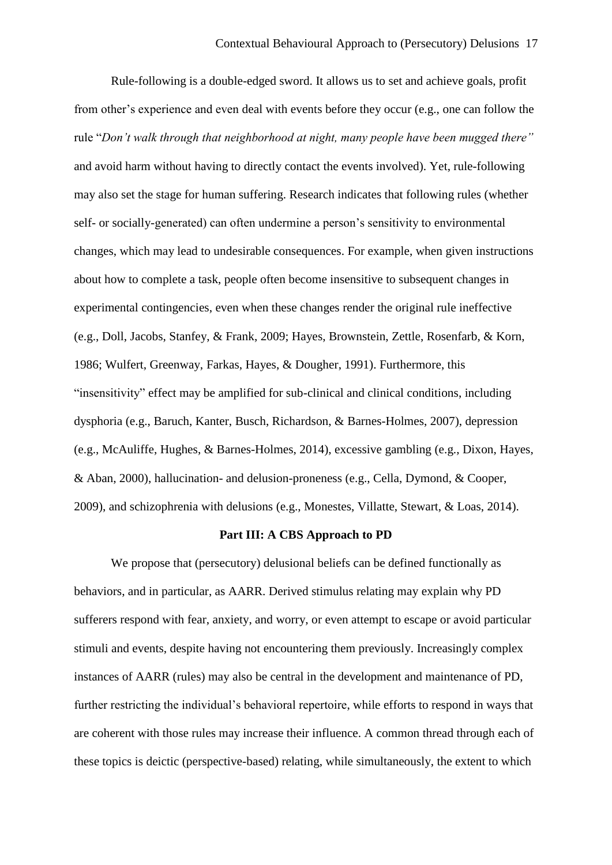Rule-following is a double-edged sword. It allows us to set and achieve goals, profit from other's experience and even deal with events before they occur (e.g., one can follow the rule "*Don't walk through that neighborhood at night, many people have been mugged there"*  and avoid harm without having to directly contact the events involved). Yet, rule-following may also set the stage for human suffering. Research indicates that following rules (whether self- or socially-generated) can often undermine a person's sensitivity to environmental changes, which may lead to undesirable consequences. For example, when given instructions about how to complete a task, people often become insensitive to subsequent changes in experimental contingencies, even when these changes render the original rule ineffective (e.g., Doll, Jacobs, Stanfey, & Frank, 2009; Hayes, Brownstein, Zettle, Rosenfarb, & Korn, 1986; Wulfert, Greenway, Farkas, Hayes, & Dougher, 1991). Furthermore, this "insensitivity" effect may be amplified for sub-clinical and clinical conditions, including dysphoria (e.g., Baruch, Kanter, Busch, Richardson, & Barnes-Holmes, 2007), depression (e.g., McAuliffe, Hughes, & Barnes-Holmes, 2014), excessive gambling (e.g., Dixon, Hayes, & Aban, 2000), hallucination- and delusion-proneness (e.g., Cella, Dymond, & Cooper, 2009), and schizophrenia with delusions (e.g., Monestes, Villatte, Stewart, & Loas, 2014).

## **Part III: A CBS Approach to PD**

We propose that (persecutory) delusional beliefs can be defined functionally as behaviors, and in particular, as AARR. Derived stimulus relating may explain why PD sufferers respond with fear, anxiety, and worry, or even attempt to escape or avoid particular stimuli and events, despite having not encountering them previously. Increasingly complex instances of AARR (rules) may also be central in the development and maintenance of PD, further restricting the individual's behavioral repertoire, while efforts to respond in ways that are coherent with those rules may increase their influence. A common thread through each of these topics is deictic (perspective-based) relating, while simultaneously, the extent to which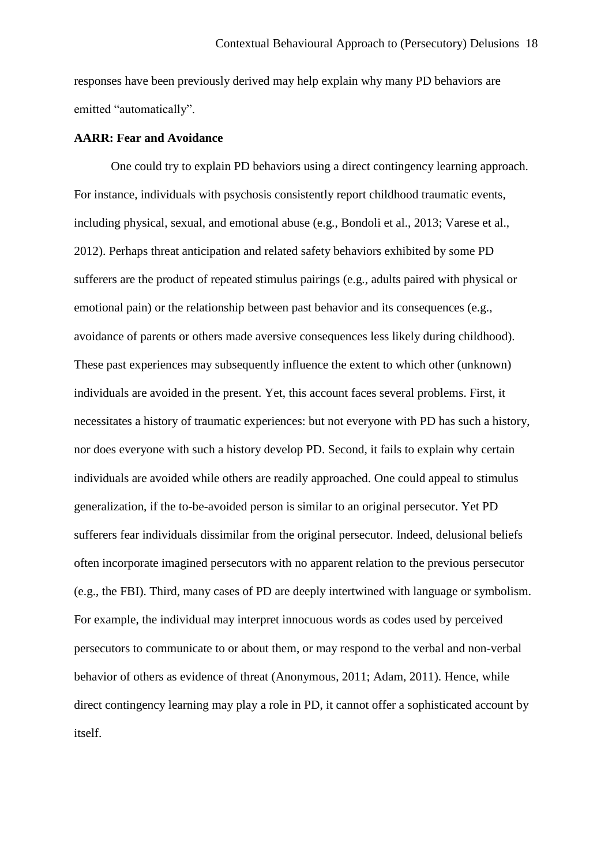responses have been previously derived may help explain why many PD behaviors are emitted "automatically".

## **AARR: Fear and Avoidance**

One could try to explain PD behaviors using a direct contingency learning approach. For instance, individuals with psychosis consistently report childhood traumatic events, including physical, sexual, and emotional abuse (e.g., Bondoli et al., 2013; Varese et al., 2012). Perhaps threat anticipation and related safety behaviors exhibited by some PD sufferers are the product of repeated stimulus pairings (e.g., adults paired with physical or emotional pain) or the relationship between past behavior and its consequences (e.g., avoidance of parents or others made aversive consequences less likely during childhood). These past experiences may subsequently influence the extent to which other (unknown) individuals are avoided in the present. Yet, this account faces several problems. First, it necessitates a history of traumatic experiences: but not everyone with PD has such a history, nor does everyone with such a history develop PD. Second, it fails to explain why certain individuals are avoided while others are readily approached. One could appeal to stimulus generalization, if the to-be-avoided person is similar to an original persecutor. Yet PD sufferers fear individuals dissimilar from the original persecutor. Indeed, delusional beliefs often incorporate imagined persecutors with no apparent relation to the previous persecutor (e.g., the FBI). Third, many cases of PD are deeply intertwined with language or symbolism. For example, the individual may interpret innocuous words as codes used by perceived persecutors to communicate to or about them, or may respond to the verbal and non-verbal behavior of others as evidence of threat (Anonymous, 2011; Adam, 2011). Hence, while direct contingency learning may play a role in PD, it cannot offer a sophisticated account by itself.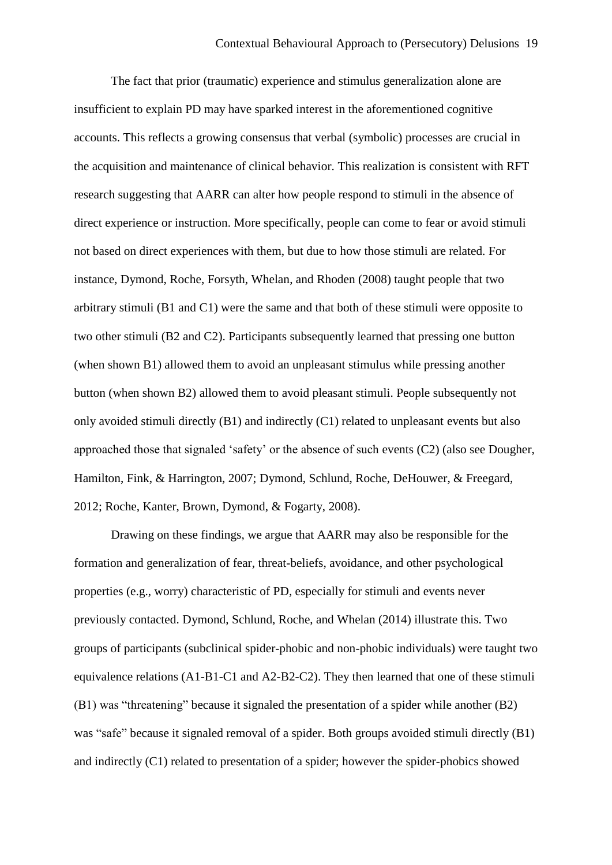The fact that prior (traumatic) experience and stimulus generalization alone are insufficient to explain PD may have sparked interest in the aforementioned cognitive accounts. This reflects a growing consensus that verbal (symbolic) processes are crucial in the acquisition and maintenance of clinical behavior. This realization is consistent with RFT research suggesting that AARR can alter how people respond to stimuli in the absence of direct experience or instruction. More specifically, people can come to fear or avoid stimuli not based on direct experiences with them, but due to how those stimuli are related. For instance, Dymond, Roche, Forsyth, Whelan, and Rhoden (2008) taught people that two arbitrary stimuli (B1 and C1) were the same and that both of these stimuli were opposite to two other stimuli (B2 and C2). Participants subsequently learned that pressing one button (when shown B1) allowed them to avoid an unpleasant stimulus while pressing another button (when shown B2) allowed them to avoid pleasant stimuli. People subsequently not only avoided stimuli directly (B1) and indirectly (C1) related to unpleasant events but also approached those that signaled 'safety' or the absence of such events (C2) (also see Dougher, Hamilton, Fink, & Harrington, 2007; Dymond, Schlund, Roche, DeHouwer, & Freegard, 2012; Roche, Kanter, Brown, Dymond, & Fogarty, 2008).

Drawing on these findings, we argue that AARR may also be responsible for the formation and generalization of fear, threat-beliefs, avoidance, and other psychological properties (e.g., worry) characteristic of PD, especially for stimuli and events never previously contacted. Dymond, Schlund, Roche, and Whelan (2014) illustrate this. Two groups of participants (subclinical spider-phobic and non-phobic individuals) were taught two equivalence relations (A1-B1-C1 and A2-B2-C2). They then learned that one of these stimuli (B1) was "threatening" because it signaled the presentation of a spider while another (B2) was "safe" because it signaled removal of a spider. Both groups avoided stimuli directly (B1) and indirectly (C1) related to presentation of a spider; however the spider-phobics showed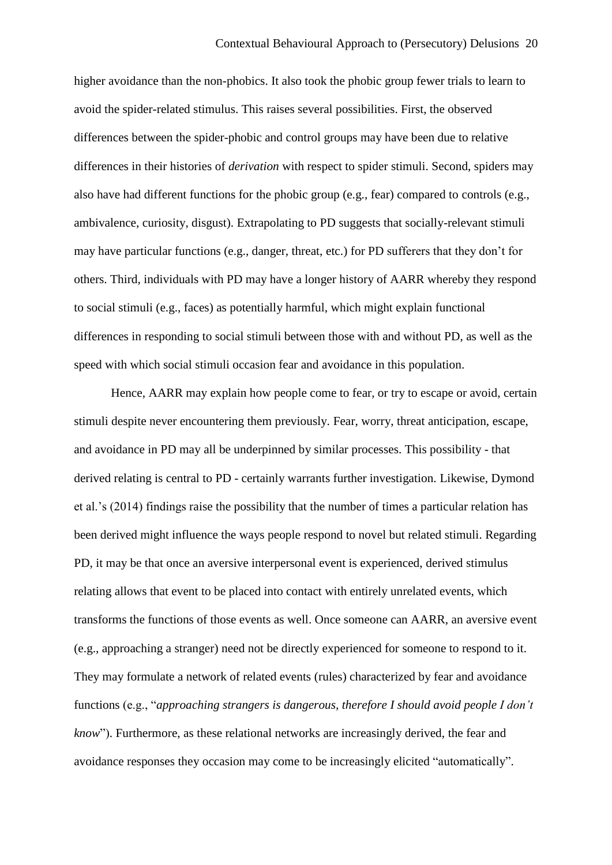higher avoidance than the non-phobics. It also took the phobic group fewer trials to learn to avoid the spider-related stimulus. This raises several possibilities. First, the observed differences between the spider-phobic and control groups may have been due to relative differences in their histories of *derivation* with respect to spider stimuli. Second, spiders may also have had different functions for the phobic group (e.g., fear) compared to controls (e.g., ambivalence, curiosity, disgust). Extrapolating to PD suggests that socially-relevant stimuli may have particular functions (e.g., danger, threat, etc.) for PD sufferers that they don't for others. Third, individuals with PD may have a longer history of AARR whereby they respond to social stimuli (e.g., faces) as potentially harmful, which might explain functional differences in responding to social stimuli between those with and without PD, as well as the speed with which social stimuli occasion fear and avoidance in this population.

Hence, AARR may explain how people come to fear, or try to escape or avoid, certain stimuli despite never encountering them previously. Fear, worry, threat anticipation, escape, and avoidance in PD may all be underpinned by similar processes. This possibility - that derived relating is central to PD - certainly warrants further investigation. Likewise, Dymond et al.'s (2014) findings raise the possibility that the number of times a particular relation has been derived might influence the ways people respond to novel but related stimuli. Regarding PD, it may be that once an aversive interpersonal event is experienced, derived stimulus relating allows that event to be placed into contact with entirely unrelated events, which transforms the functions of those events as well. Once someone can AARR, an aversive event (e.g., approaching a stranger) need not be directly experienced for someone to respond to it. They may formulate a network of related events (rules) characterized by fear and avoidance functions (e.g., "*approaching strangers is dangerous, therefore I should avoid people I don't know*"). Furthermore, as these relational networks are increasingly derived, the fear and avoidance responses they occasion may come to be increasingly elicited "automatically".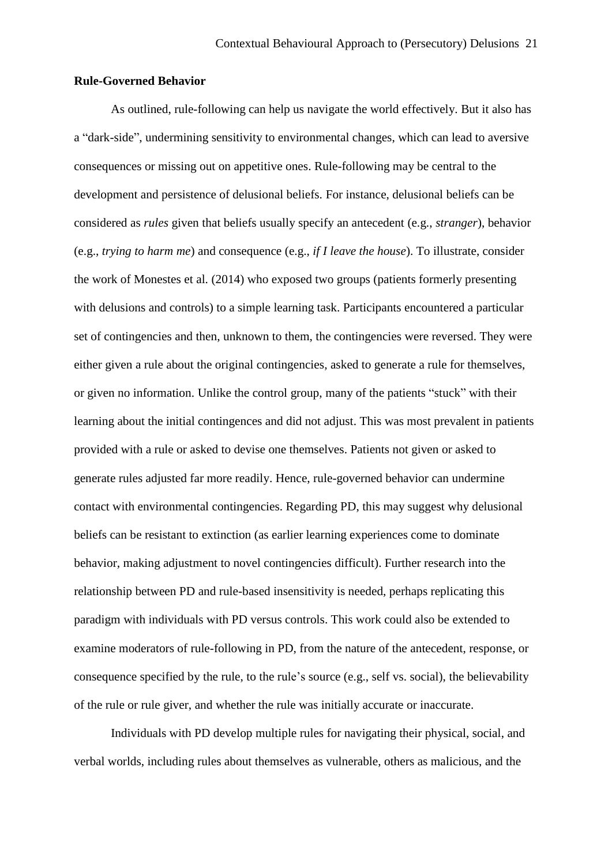## **Rule-Governed Behavior**

As outlined, rule-following can help us navigate the world effectively. But it also has a "dark-side", undermining sensitivity to environmental changes, which can lead to aversive consequences or missing out on appetitive ones. Rule-following may be central to the development and persistence of delusional beliefs. For instance, delusional beliefs can be considered as *rules* given that beliefs usually specify an antecedent (e.g., *stranger*), behavior (e.g., *trying to harm me*) and consequence (e.g., *if I leave the house*). To illustrate, consider the work of Monestes et al. (2014) who exposed two groups (patients formerly presenting with delusions and controls) to a simple learning task. Participants encountered a particular set of contingencies and then, unknown to them, the contingencies were reversed. They were either given a rule about the original contingencies, asked to generate a rule for themselves, or given no information. Unlike the control group, many of the patients "stuck" with their learning about the initial contingences and did not adjust. This was most prevalent in patients provided with a rule or asked to devise one themselves. Patients not given or asked to generate rules adjusted far more readily. Hence, rule-governed behavior can undermine contact with environmental contingencies. Regarding PD, this may suggest why delusional beliefs can be resistant to extinction (as earlier learning experiences come to dominate behavior, making adjustment to novel contingencies difficult). Further research into the relationship between PD and rule-based insensitivity is needed, perhaps replicating this paradigm with individuals with PD versus controls. This work could also be extended to examine moderators of rule-following in PD, from the nature of the antecedent, response, or consequence specified by the rule, to the rule's source (e.g., self vs. social), the believability of the rule or rule giver, and whether the rule was initially accurate or inaccurate.

Individuals with PD develop multiple rules for navigating their physical, social, and verbal worlds, including rules about themselves as vulnerable, others as malicious, and the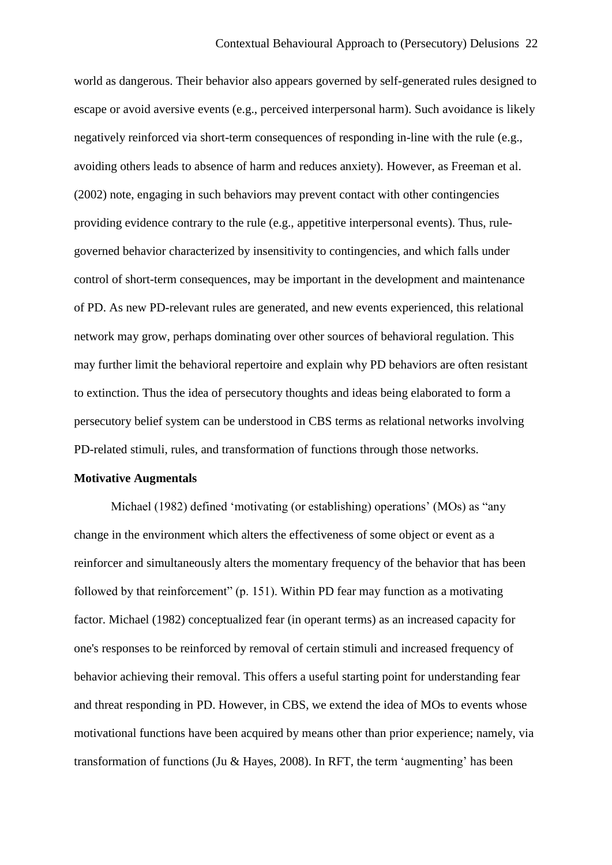world as dangerous. Their behavior also appears governed by self-generated rules designed to escape or avoid aversive events (e.g., perceived interpersonal harm). Such avoidance is likely negatively reinforced via short-term consequences of responding in-line with the rule (e.g., avoiding others leads to absence of harm and reduces anxiety). However, as Freeman et al. (2002) note, engaging in such behaviors may prevent contact with other contingencies providing evidence contrary to the rule (e.g., appetitive interpersonal events). Thus, rulegoverned behavior characterized by insensitivity to contingencies, and which falls under control of short-term consequences, may be important in the development and maintenance of PD. As new PD-relevant rules are generated, and new events experienced, this relational network may grow, perhaps dominating over other sources of behavioral regulation. This may further limit the behavioral repertoire and explain why PD behaviors are often resistant to extinction. Thus the idea of persecutory thoughts and ideas being elaborated to form a persecutory belief system can be understood in CBS terms as relational networks involving PD-related stimuli, rules, and transformation of functions through those networks.

## **Motivative Augmentals**

Michael (1982) defined 'motivating (or establishing) operations' (MOs) as "any change in the environment which alters the effectiveness of some object or event as a reinforcer and simultaneously alters the momentary frequency of the behavior that has been followed by that reinforcement" (p. 151). Within PD fear may function as a motivating factor. Michael (1982) conceptualized fear (in operant terms) as an increased capacity for one's responses to be reinforced by removal of certain stimuli and increased frequency of behavior achieving their removal. This offers a useful starting point for understanding fear and threat responding in PD. However, in CBS, we extend the idea of MOs to events whose motivational functions have been acquired by means other than prior experience; namely, via transformation of functions (Ju & Hayes, 2008). In RFT, the term 'augmenting' has been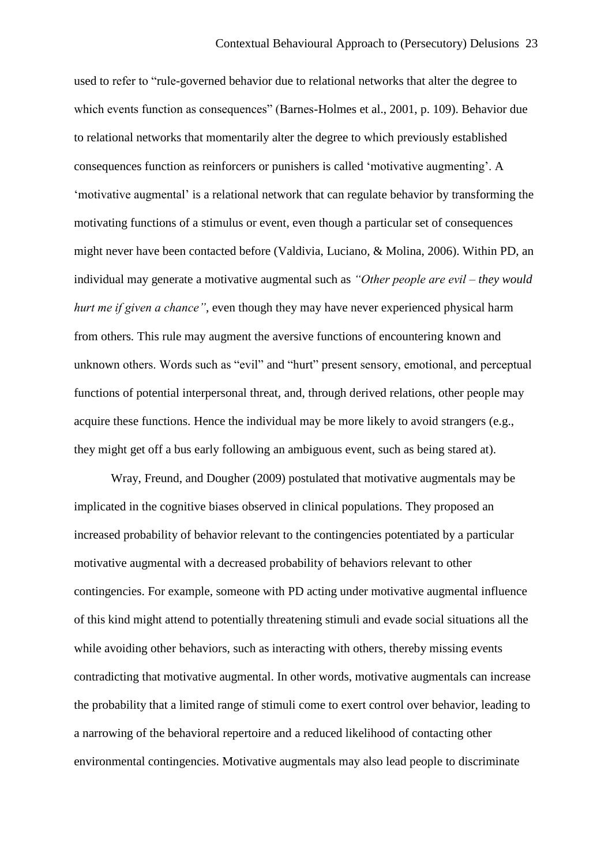used to refer to "rule-governed behavior due to relational networks that alter the degree to which events function as consequences" (Barnes-Holmes et al., 2001, p. 109). Behavior due to relational networks that momentarily alter the degree to which previously established consequences function as reinforcers or punishers is called 'motivative augmenting'. A 'motivative augmental' is a relational network that can regulate behavior by transforming the motivating functions of a stimulus or event, even though a particular set of consequences might never have been contacted before (Valdivia, Luciano, & Molina, 2006). Within PD, an individual may generate a motivative augmental such as *"Other people are evil – they would hurt me if given a chance"*, even though they may have never experienced physical harm from others*.* This rule may augment the aversive functions of encountering known and unknown others. Words such as "evil" and "hurt" present sensory, emotional, and perceptual functions of potential interpersonal threat, and, through derived relations, other people may acquire these functions. Hence the individual may be more likely to avoid strangers (e.g., they might get off a bus early following an ambiguous event, such as being stared at).

Wray, Freund, and Dougher (2009) postulated that motivative augmentals may be implicated in the cognitive biases observed in clinical populations. They proposed an increased probability of behavior relevant to the contingencies potentiated by a particular motivative augmental with a decreased probability of behaviors relevant to other contingencies. For example, someone with PD acting under motivative augmental influence of this kind might attend to potentially threatening stimuli and evade social situations all the while avoiding other behaviors, such as interacting with others, thereby missing events contradicting that motivative augmental. In other words, motivative augmentals can increase the probability that a limited range of stimuli come to exert control over behavior, leading to a narrowing of the behavioral repertoire and a reduced likelihood of contacting other environmental contingencies. Motivative augmentals may also lead people to discriminate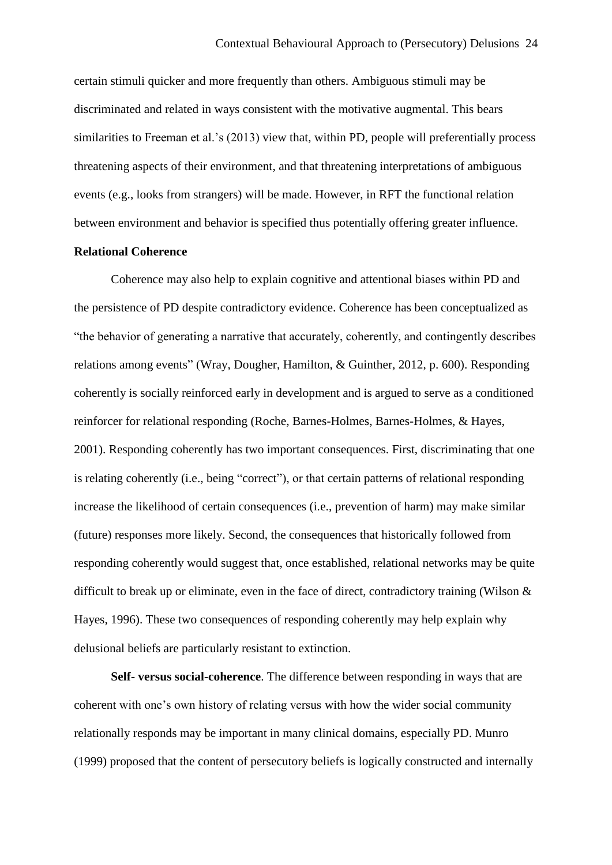certain stimuli quicker and more frequently than others. Ambiguous stimuli may be discriminated and related in ways consistent with the motivative augmental. This bears similarities to Freeman et al.'s (2013) view that, within PD, people will preferentially process threatening aspects of their environment, and that threatening interpretations of ambiguous events (e.g., looks from strangers) will be made. However, in RFT the functional relation between environment and behavior is specified thus potentially offering greater influence.

## **Relational Coherence**

Coherence may also help to explain cognitive and attentional biases within PD and the persistence of PD despite contradictory evidence. Coherence has been conceptualized as "the behavior of generating a narrative that accurately, coherently, and contingently describes relations among events" (Wray, Dougher, Hamilton, & Guinther, 2012, p. 600). Responding coherently is socially reinforced early in development and is argued to serve as a conditioned reinforcer for relational responding (Roche, Barnes-Holmes, Barnes-Holmes, & Hayes, 2001). Responding coherently has two important consequences. First, discriminating that one is relating coherently (i.e., being "correct"), or that certain patterns of relational responding increase the likelihood of certain consequences (i.e., prevention of harm) may make similar (future) responses more likely. Second, the consequences that historically followed from responding coherently would suggest that, once established, relational networks may be quite difficult to break up or eliminate, even in the face of direct, contradictory training (Wilson & Hayes, 1996). These two consequences of responding coherently may help explain why delusional beliefs are particularly resistant to extinction.

**Self- versus social-coherence**. The difference between responding in ways that are coherent with one's own history of relating versus with how the wider social community relationally responds may be important in many clinical domains, especially PD. Munro (1999) proposed that the content of persecutory beliefs is logically constructed and internally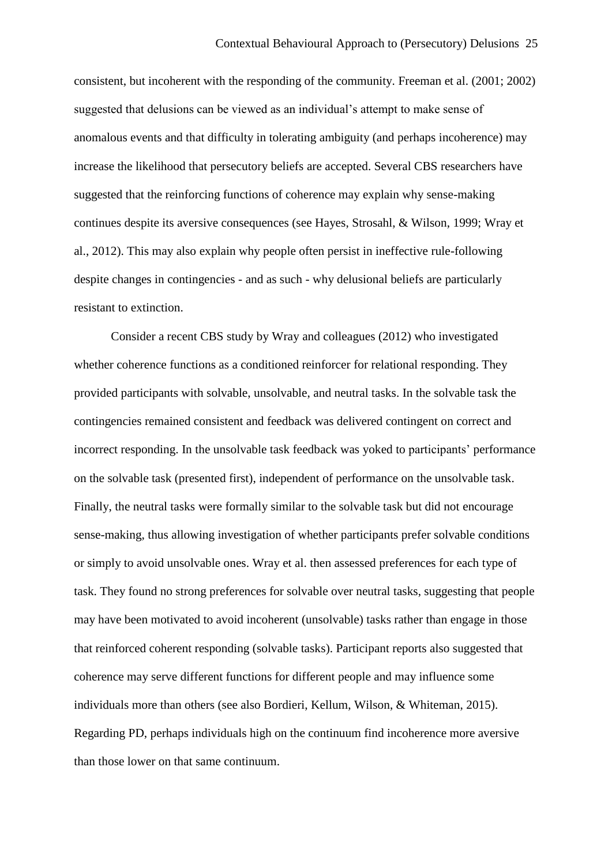consistent, but incoherent with the responding of the community. Freeman et al. (2001; 2002) suggested that delusions can be viewed as an individual's attempt to make sense of anomalous events and that difficulty in tolerating ambiguity (and perhaps incoherence) may increase the likelihood that persecutory beliefs are accepted. Several CBS researchers have suggested that the reinforcing functions of coherence may explain why sense-making continues despite its aversive consequences (see Hayes, Strosahl, & Wilson, 1999; Wray et al., 2012). This may also explain why people often persist in ineffective rule-following despite changes in contingencies - and as such - why delusional beliefs are particularly resistant to extinction.

Consider a recent CBS study by Wray and colleagues (2012) who investigated whether coherence functions as a conditioned reinforcer for relational responding. They provided participants with solvable, unsolvable, and neutral tasks. In the solvable task the contingencies remained consistent and feedback was delivered contingent on correct and incorrect responding. In the unsolvable task feedback was yoked to participants' performance on the solvable task (presented first), independent of performance on the unsolvable task. Finally, the neutral tasks were formally similar to the solvable task but did not encourage sense-making, thus allowing investigation of whether participants prefer solvable conditions or simply to avoid unsolvable ones. Wray et al. then assessed preferences for each type of task. They found no strong preferences for solvable over neutral tasks, suggesting that people may have been motivated to avoid incoherent (unsolvable) tasks rather than engage in those that reinforced coherent responding (solvable tasks). Participant reports also suggested that coherence may serve different functions for different people and may influence some individuals more than others (see also Bordieri, Kellum, Wilson, & Whiteman, 2015). Regarding PD, perhaps individuals high on the continuum find incoherence more aversive than those lower on that same continuum.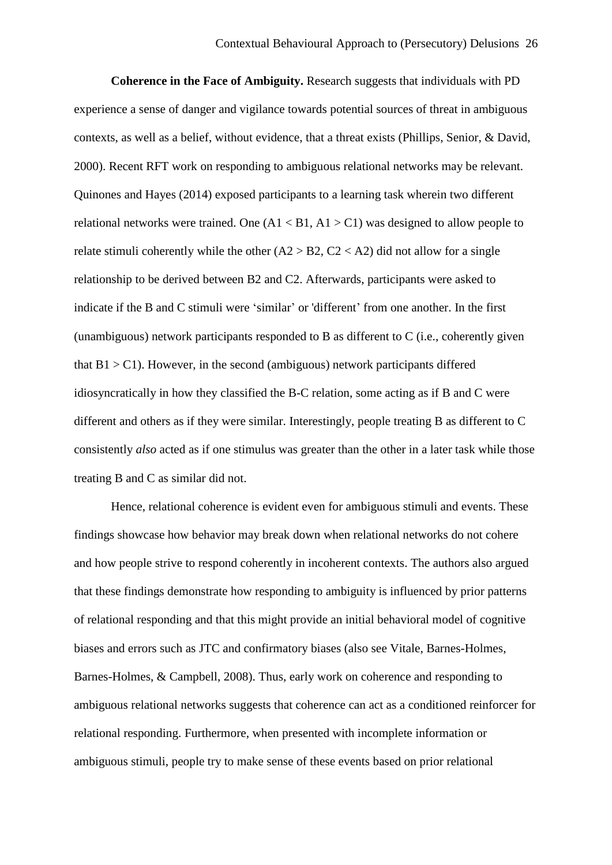**Coherence in the Face of Ambiguity.** Research suggests that individuals with PD experience a sense of danger and vigilance towards potential sources of threat in ambiguous contexts, as well as a belief, without evidence, that a threat exists (Phillips, Senior, & David, 2000). Recent RFT work on responding to ambiguous relational networks may be relevant. Quinones and Hayes (2014) exposed participants to a learning task wherein two different relational networks were trained. One  $(A1 < B1, A1 > C1)$  was designed to allow people to relate stimuli coherently while the other  $(A2 > B2, C2 < A2)$  did not allow for a single relationship to be derived between B2 and C2. Afterwards, participants were asked to indicate if the B and C stimuli were 'similar' or 'different' from one another. In the first (unambiguous) network participants responded to B as different to C (i.e., coherently given that  $B1 > C1$ ). However, in the second (ambiguous) network participants differed idiosyncratically in how they classified the B-C relation, some acting as if B and C were different and others as if they were similar. Interestingly, people treating B as different to C consistently *also* acted as if one stimulus was greater than the other in a later task while those treating B and C as similar did not.

Hence, relational coherence is evident even for ambiguous stimuli and events. These findings showcase how behavior may break down when relational networks do not cohere and how people strive to respond coherently in incoherent contexts. The authors also argued that these findings demonstrate how responding to ambiguity is influenced by prior patterns of relational responding and that this might provide an initial behavioral model of cognitive biases and errors such as JTC and confirmatory biases (also see Vitale, Barnes-Holmes, Barnes-Holmes, & Campbell, 2008). Thus, early work on coherence and responding to ambiguous relational networks suggests that coherence can act as a conditioned reinforcer for relational responding. Furthermore, when presented with incomplete information or ambiguous stimuli, people try to make sense of these events based on prior relational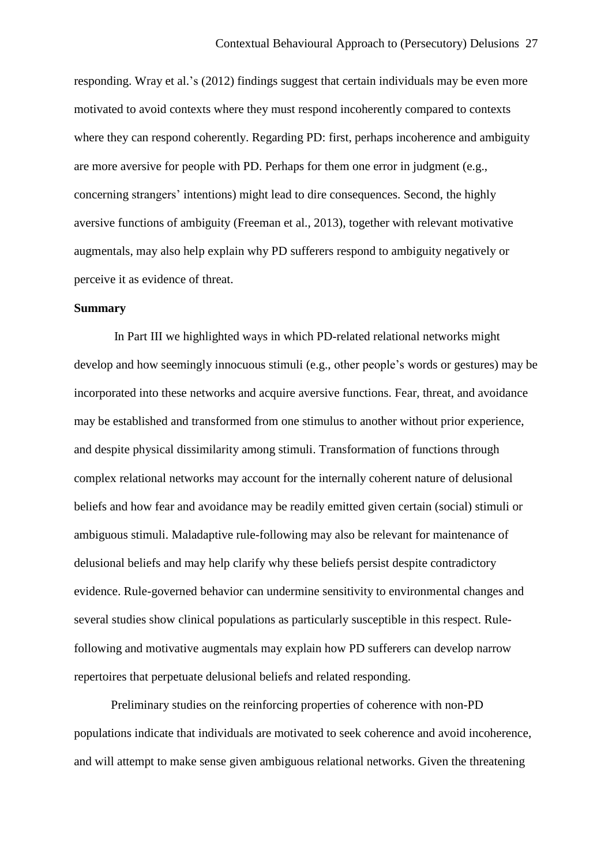responding. Wray et al.'s (2012) findings suggest that certain individuals may be even more motivated to avoid contexts where they must respond incoherently compared to contexts where they can respond coherently. Regarding PD: first, perhaps incoherence and ambiguity are more aversive for people with PD. Perhaps for them one error in judgment (e.g., concerning strangers' intentions) might lead to dire consequences. Second, the highly aversive functions of ambiguity (Freeman et al., 2013), together with relevant motivative augmentals, may also help explain why PD sufferers respond to ambiguity negatively or perceive it as evidence of threat.

## **Summary**

In Part III we highlighted ways in which PD-related relational networks might develop and how seemingly innocuous stimuli (e.g., other people's words or gestures) may be incorporated into these networks and acquire aversive functions. Fear, threat, and avoidance may be established and transformed from one stimulus to another without prior experience, and despite physical dissimilarity among stimuli. Transformation of functions through complex relational networks may account for the internally coherent nature of delusional beliefs and how fear and avoidance may be readily emitted given certain (social) stimuli or ambiguous stimuli. Maladaptive rule-following may also be relevant for maintenance of delusional beliefs and may help clarify why these beliefs persist despite contradictory evidence. Rule-governed behavior can undermine sensitivity to environmental changes and several studies show clinical populations as particularly susceptible in this respect. Rulefollowing and motivative augmentals may explain how PD sufferers can develop narrow repertoires that perpetuate delusional beliefs and related responding.

Preliminary studies on the reinforcing properties of coherence with non-PD populations indicate that individuals are motivated to seek coherence and avoid incoherence, and will attempt to make sense given ambiguous relational networks. Given the threatening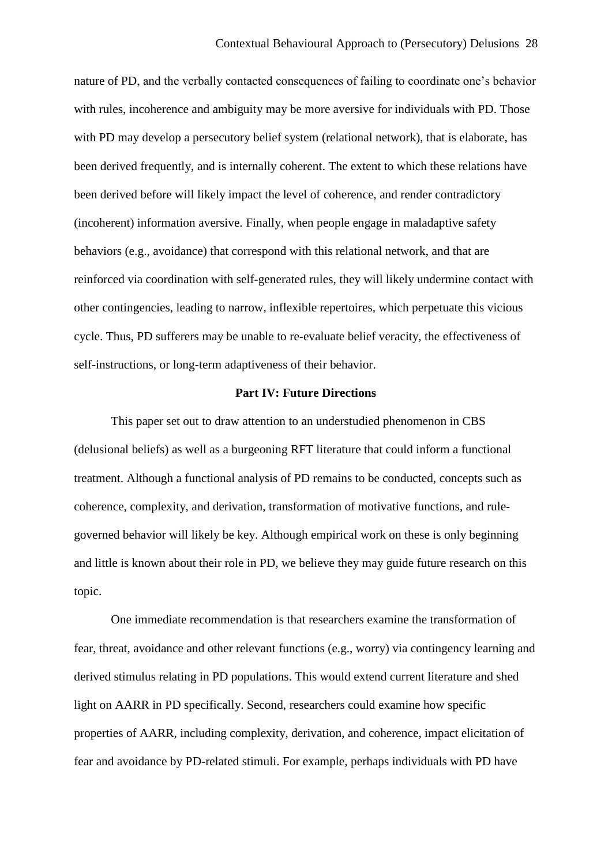nature of PD, and the verbally contacted consequences of failing to coordinate one's behavior with rules, incoherence and ambiguity may be more aversive for individuals with PD. Those with PD may develop a persecutory belief system (relational network), that is elaborate, has been derived frequently, and is internally coherent. The extent to which these relations have been derived before will likely impact the level of coherence, and render contradictory (incoherent) information aversive. Finally, when people engage in maladaptive safety behaviors (e.g., avoidance) that correspond with this relational network, and that are reinforced via coordination with self-generated rules, they will likely undermine contact with other contingencies, leading to narrow, inflexible repertoires, which perpetuate this vicious cycle. Thus, PD sufferers may be unable to re-evaluate belief veracity, the effectiveness of self-instructions, or long-term adaptiveness of their behavior.

# **Part IV: Future Directions**

This paper set out to draw attention to an understudied phenomenon in CBS (delusional beliefs) as well as a burgeoning RFT literature that could inform a functional treatment. Although a functional analysis of PD remains to be conducted, concepts such as coherence, complexity, and derivation, transformation of motivative functions, and rulegoverned behavior will likely be key. Although empirical work on these is only beginning and little is known about their role in PD, we believe they may guide future research on this topic.

One immediate recommendation is that researchers examine the transformation of fear, threat, avoidance and other relevant functions (e.g., worry) via contingency learning and derived stimulus relating in PD populations. This would extend current literature and shed light on AARR in PD specifically. Second, researchers could examine how specific properties of AARR, including complexity, derivation, and coherence, impact elicitation of fear and avoidance by PD-related stimuli. For example, perhaps individuals with PD have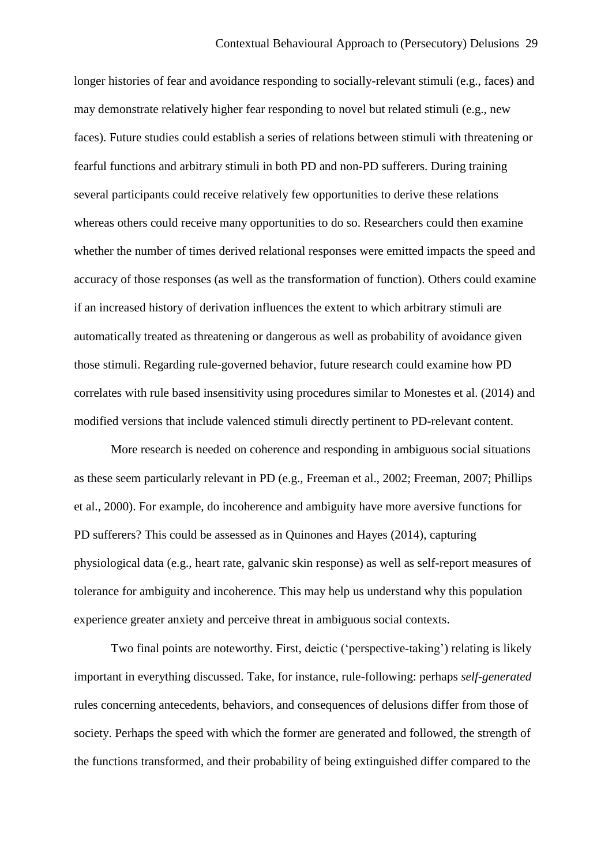longer histories of fear and avoidance responding to socially-relevant stimuli (e.g., faces) and may demonstrate relatively higher fear responding to novel but related stimuli (e.g., new faces). Future studies could establish a series of relations between stimuli with threatening or fearful functions and arbitrary stimuli in both PD and non-PD sufferers. During training several participants could receive relatively few opportunities to derive these relations whereas others could receive many opportunities to do so. Researchers could then examine whether the number of times derived relational responses were emitted impacts the speed and accuracy of those responses (as well as the transformation of function). Others could examine if an increased history of derivation influences the extent to which arbitrary stimuli are automatically treated as threatening or dangerous as well as probability of avoidance given those stimuli. Regarding rule-governed behavior, future research could examine how PD correlates with rule based insensitivity using procedures similar to Monestes et al. (2014) and modified versions that include valenced stimuli directly pertinent to PD-relevant content.

More research is needed on coherence and responding in ambiguous social situations as these seem particularly relevant in PD (e.g., Freeman et al., 2002; Freeman, 2007; Phillips et al., 2000). For example, do incoherence and ambiguity have more aversive functions for PD sufferers? This could be assessed as in Quinones and Hayes (2014), capturing physiological data (e.g., heart rate, galvanic skin response) as well as self-report measures of tolerance for ambiguity and incoherence. This may help us understand why this population experience greater anxiety and perceive threat in ambiguous social contexts.

Two final points are noteworthy. First, deictic ('perspective-taking') relating is likely important in everything discussed. Take, for instance, rule-following: perhaps *self-generated* rules concerning antecedents, behaviors, and consequences of delusions differ from those of society. Perhaps the speed with which the former are generated and followed, the strength of the functions transformed, and their probability of being extinguished differ compared to the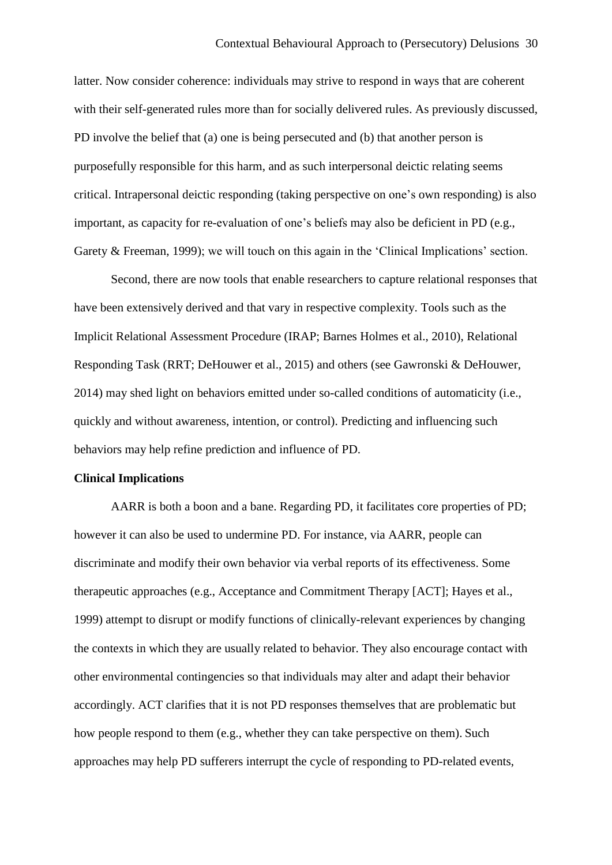latter. Now consider coherence: individuals may strive to respond in ways that are coherent with their self-generated rules more than for socially delivered rules. As previously discussed, PD involve the belief that (a) one is being persecuted and (b) that another person is purposefully responsible for this harm, and as such interpersonal deictic relating seems critical. Intrapersonal deictic responding (taking perspective on one's own responding) is also important, as capacity for re-evaluation of one's beliefs may also be deficient in PD (e.g., Garety & Freeman, 1999); we will touch on this again in the 'Clinical Implications' section.

Second, there are now tools that enable researchers to capture relational responses that have been extensively derived and that vary in respective complexity. Tools such as the Implicit Relational Assessment Procedure (IRAP; Barnes Holmes et al., 2010), Relational Responding Task (RRT; DeHouwer et al., 2015) and others (see Gawronski & DeHouwer, 2014) may shed light on behaviors emitted under so-called conditions of automaticity (i.e., quickly and without awareness, intention, or control). Predicting and influencing such behaviors may help refine prediction and influence of PD.

## **Clinical Implications**

AARR is both a boon and a bane. Regarding PD, it facilitates core properties of PD; however it can also be used to undermine PD. For instance, via AARR, people can discriminate and modify their own behavior via verbal reports of its effectiveness. Some therapeutic approaches (e.g., Acceptance and Commitment Therapy [ACT]; Hayes et al., 1999) attempt to disrupt or modify functions of clinically-relevant experiences by changing the contexts in which they are usually related to behavior. They also encourage contact with other environmental contingencies so that individuals may alter and adapt their behavior accordingly. ACT clarifies that it is not PD responses themselves that are problematic but how people respond to them (e.g., whether they can take perspective on them). Such approaches may help PD sufferers interrupt the cycle of responding to PD-related events,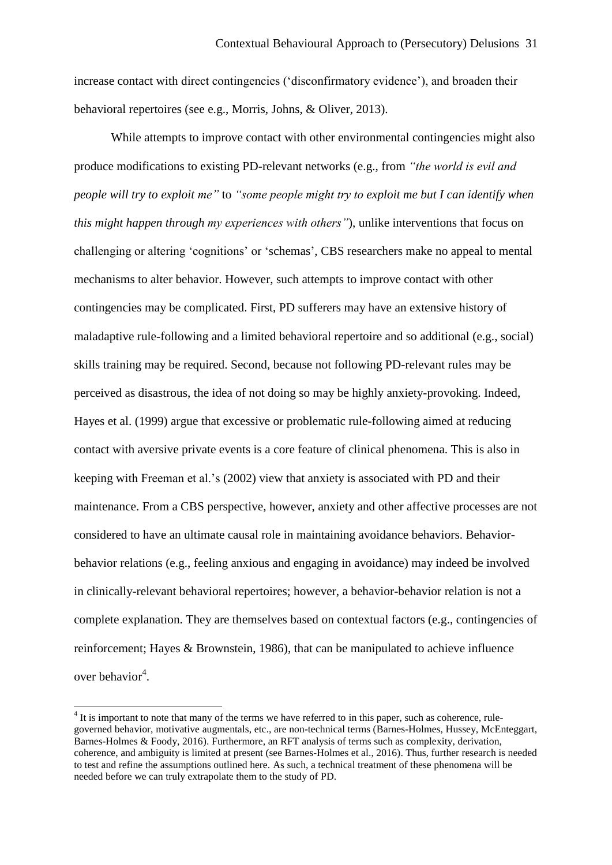increase contact with direct contingencies ('disconfirmatory evidence'), and broaden their behavioral repertoires (see e.g., Morris, Johns, & Oliver, 2013).

While attempts to improve contact with other environmental contingencies might also produce modifications to existing PD-relevant networks (e.g., from *"the world is evil and people will try to exploit me"* to *"some people might try to exploit me but I can identify when this might happen through my experiences with others"*), unlike interventions that focus on challenging or altering 'cognitions' or 'schemas', CBS researchers make no appeal to mental mechanisms to alter behavior. However, such attempts to improve contact with other contingencies may be complicated. First, PD sufferers may have an extensive history of maladaptive rule-following and a limited behavioral repertoire and so additional (e.g., social) skills training may be required. Second, because not following PD-relevant rules may be perceived as disastrous, the idea of not doing so may be highly anxiety-provoking. Indeed, Hayes et al. (1999) argue that excessive or problematic rule-following aimed at reducing contact with aversive private events is a core feature of clinical phenomena. This is also in keeping with Freeman et al.'s (2002) view that anxiety is associated with PD and their maintenance. From a CBS perspective, however, anxiety and other affective processes are not considered to have an ultimate causal role in maintaining avoidance behaviors. Behaviorbehavior relations (e.g., feeling anxious and engaging in avoidance) may indeed be involved in clinically-relevant behavioral repertoires; however, a behavior-behavior relation is not a complete explanation. They are themselves based on contextual factors (e.g., contingencies of reinforcement; Hayes & Brownstein, 1986), that can be manipulated to achieve influence over behavior<sup>4</sup>.

1

 $4$  It is important to note that many of the terms we have referred to in this paper, such as coherence, rulegoverned behavior, motivative augmentals, etc., are non-technical terms (Barnes-Holmes, Hussey, McEnteggart, Barnes-Holmes & Foody, 2016). Furthermore, an RFT analysis of terms such as complexity, derivation, coherence, and ambiguity is limited at present (see Barnes-Holmes et al., 2016). Thus, further research is needed to test and refine the assumptions outlined here. As such, a technical treatment of these phenomena will be needed before we can truly extrapolate them to the study of PD.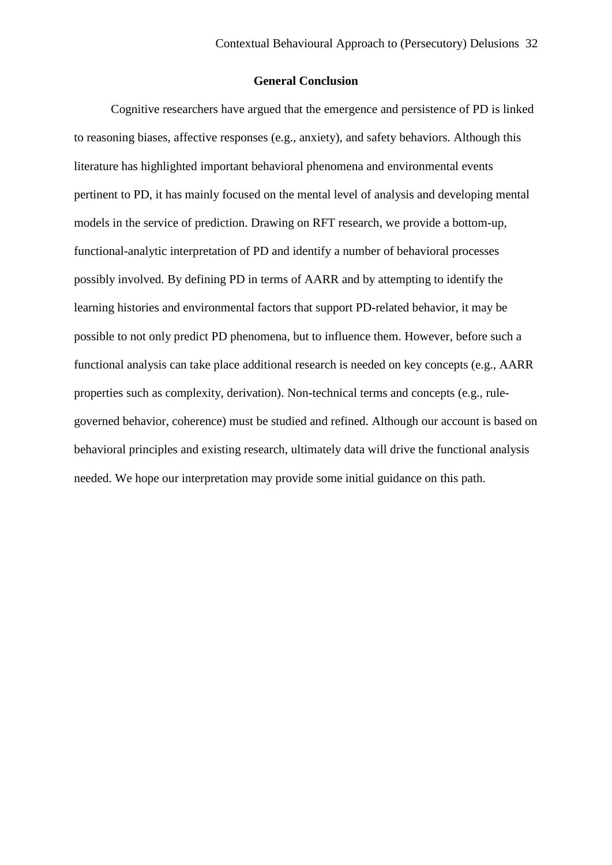# **General Conclusion**

Cognitive researchers have argued that the emergence and persistence of PD is linked to reasoning biases, affective responses (e.g., anxiety), and safety behaviors. Although this literature has highlighted important behavioral phenomena and environmental events pertinent to PD, it has mainly focused on the mental level of analysis and developing mental models in the service of prediction. Drawing on RFT research, we provide a bottom-up, functional-analytic interpretation of PD and identify a number of behavioral processes possibly involved. By defining PD in terms of AARR and by attempting to identify the learning histories and environmental factors that support PD-related behavior, it may be possible to not only predict PD phenomena, but to influence them. However, before such a functional analysis can take place additional research is needed on key concepts (e.g., AARR properties such as complexity, derivation). Non-technical terms and concepts (e.g., rulegoverned behavior, coherence) must be studied and refined. Although our account is based on behavioral principles and existing research, ultimately data will drive the functional analysis needed. We hope our interpretation may provide some initial guidance on this path.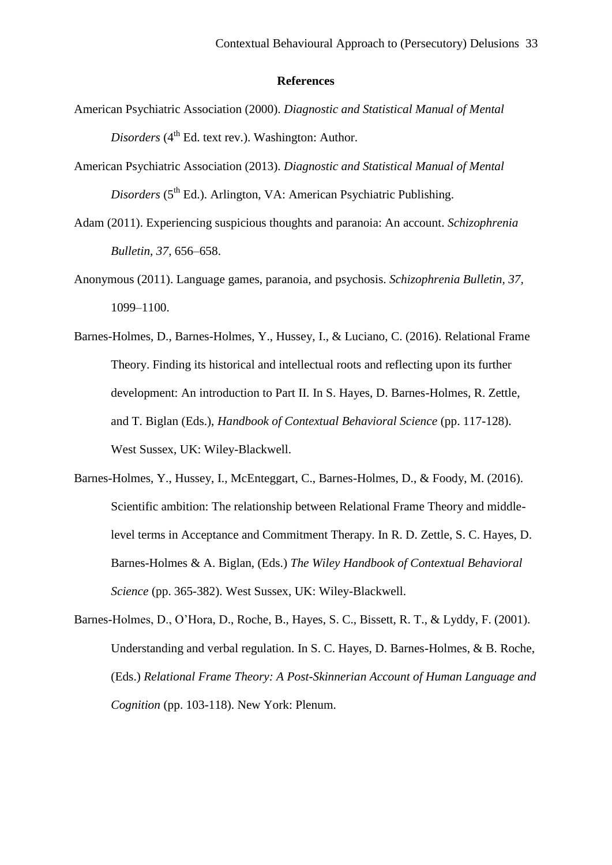#### **References**

- American Psychiatric Association (2000). *Diagnostic and Statistical Manual of Mental Disorders* (4<sup>th</sup> Ed. text rev.). Washington: Author.
- American Psychiatric Association (2013). *Diagnostic and Statistical Manual of Mental Disorders* (5<sup>th</sup> Ed.). Arlington, VA: American Psychiatric Publishing.
- Adam (2011). Experiencing suspicious thoughts and paranoia: An account. *Schizophrenia Bulletin, 37,* 656–658.
- Anonymous (2011). Language games, paranoia, and psychosis. *Schizophrenia Bulletin, 37,*  1099–1100.
- Barnes-Holmes, D., Barnes-Holmes, Y., Hussey, I., & Luciano, C. (2016). Relational Frame Theory. Finding its historical and intellectual roots and reflecting upon its further development: An introduction to Part II. In S. Hayes, D. Barnes-Holmes, R. Zettle, and T. Biglan (Eds.), *Handbook of Contextual Behavioral Science* (pp. 117-128). West Sussex, UK: Wiley-Blackwell.
- Barnes-Holmes, Y., Hussey, I., McEnteggart, C., Barnes-Holmes, D., & Foody, M. (2016). Scientific ambition: The relationship between Relational Frame Theory and middlelevel terms in Acceptance and Commitment Therapy. In R. D. Zettle, S. C. Hayes, D. Barnes-Holmes & A. Biglan, (Eds.) *The Wiley Handbook of Contextual Behavioral Science* (pp. 365-382). West Sussex, UK: Wiley-Blackwell.
- Barnes-Holmes, D., O'Hora, D., Roche, B., Hayes, S. C., Bissett, R. T., & Lyddy, F. (2001). Understanding and verbal regulation. In S. C. Hayes, D. Barnes-Holmes, & B. Roche, (Eds.) *Relational Frame Theory: A Post-Skinnerian Account of Human Language and Cognition* (pp. 103-118). New York: Plenum.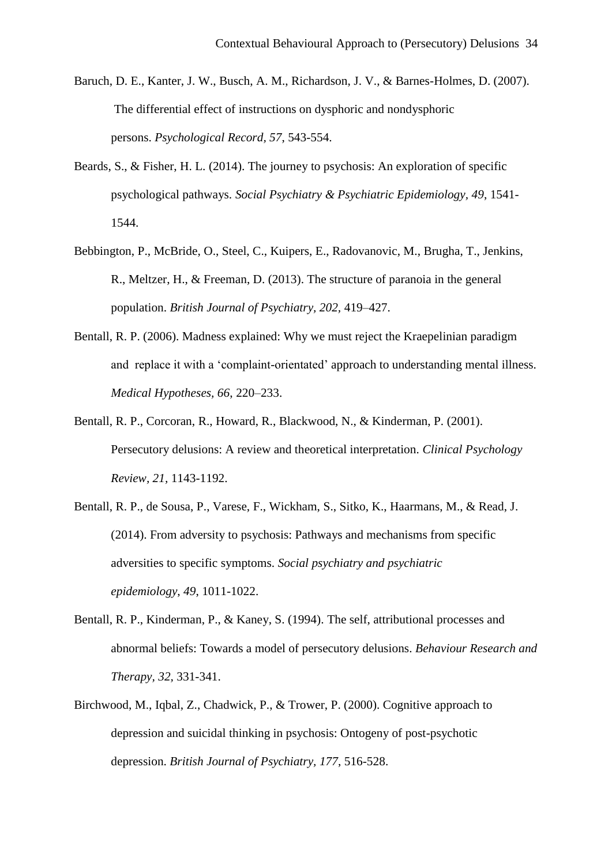- Baruch, D. E., Kanter, J. W., Busch, A. M., Richardson, J. V., & Barnes-Holmes, D. (2007). The differential effect of instructions on dysphoric and nondysphoric persons. *Psychological Record, 57*, 543-554.
- Beards, S., & Fisher, H. L. (2014). The journey to psychosis: An exploration of specific psychological pathways. *Social Psychiatry & Psychiatric Epidemiology, 49*, 1541- 1544.
- Bebbington, P., McBride, O., Steel, C., Kuipers, E., Radovanovic, M., Brugha, T., Jenkins, R., Meltzer, H., & Freeman, D. (2013). The structure of paranoia in the general population. *British Journal of Psychiatry, 202,* 419–427.
- Bentall, R. P. (2006). Madness explained: Why we must reject the Kraepelinian paradigm and replace it with a 'complaint-orientated' approach to understanding mental illness. *Medical Hypotheses, 66*, 220–233.
- Bentall, R. P., Corcoran, R., Howard, R., Blackwood, N., & Kinderman, P. (2001). Persecutory delusions: A review and theoretical interpretation. *Clinical Psychology Review, 21,* 1143-1192.
- Bentall, R. P., de Sousa, P., Varese, F., Wickham, S., Sitko, K., Haarmans, M., & Read, J. (2014). From adversity to psychosis: Pathways and mechanisms from specific adversities to specific symptoms. *Social psychiatry and psychiatric epidemiology*, *49*, 1011-1022.
- Bentall, R. P., Kinderman, P., & Kaney, S. (1994). The self, attributional processes and abnormal beliefs: Towards a model of persecutory delusions. *Behaviour Research and Therapy, 32,* 331-341.
- Birchwood, M., Iqbal, Z., Chadwick, P., & Trower, P. (2000). Cognitive approach to depression and suicidal thinking in psychosis: Ontogeny of post-psychotic depression. *British Journal of Psychiatry, 177*, 516-528.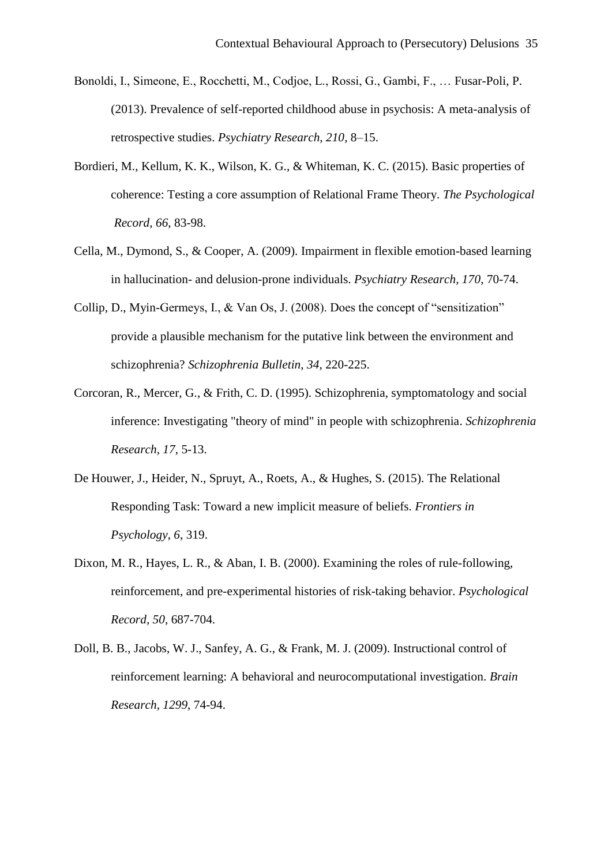- Bonoldi, I., Simeone, E., Rocchetti, M., Codjoe, L., Rossi, G., Gambi, F., … Fusar-Poli, P. (2013). Prevalence of self-reported childhood abuse in psychosis: A meta-analysis of retrospective studies. *Psychiatry Research, 210*, 8–15.
- Bordieri, M., Kellum, K. K., Wilson, K. G., & Whiteman, K. C. (2015). Basic properties of coherence: Testing a core assumption of Relational Frame Theory. *The Psychological Record, 66*, 83-98.
- Cella, M., Dymond, S., & Cooper, A. (2009). Impairment in flexible emotion-based learning in hallucination- and delusion-prone individuals. *Psychiatry Research, 170*, 70-74.
- Collip, D., Myin-Germeys, I., & Van Os, J. (2008). Does the concept of "sensitization" provide a plausible mechanism for the putative link between the environment and schizophrenia? *Schizophrenia Bulletin, 34*, 220-225.
- Corcoran, R., Mercer, G., & Frith, C. D. (1995). Schizophrenia, symptomatology and social inference: Investigating "theory of mind" in people with schizophrenia. *Schizophrenia Research, 17*, 5-13.
- De Houwer, J., Heider, N., Spruyt, A., Roets, A., & Hughes, S. (2015). The Relational Responding Task: Toward a new implicit measure of beliefs. *Frontiers in Psychology*, *6*, 319.
- Dixon, M. R., Hayes, L. R., & Aban, I. B. (2000). Examining the roles of rule-following, reinforcement, and pre-experimental histories of risk-taking behavior. *Psychological Record, 50,* 687-704.
- Doll, B. B., Jacobs, W. J., Sanfey, A. G., & Frank, M. J. (2009). Instructional control of reinforcement learning: A behavioral and neurocomputational investigation. *Brain Research, 1299*, 74-94.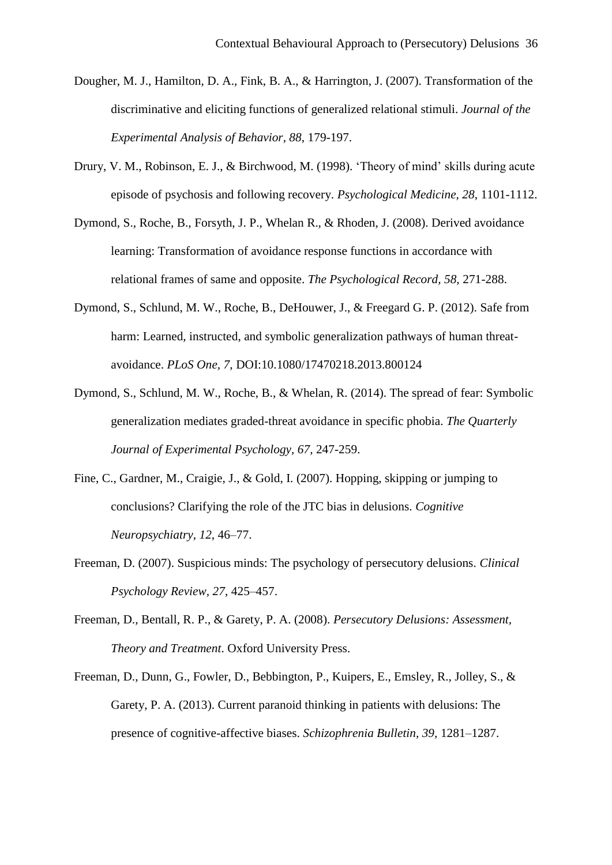- Dougher, M. J., Hamilton, D. A., Fink, B. A., & Harrington, J. (2007). Transformation of the discriminative and eliciting functions of generalized relational stimuli. *Journal of the Experimental Analysis of Behavior, 88,* 179-197.
- Drury, V. M., Robinson, E. J., & Birchwood, M. (1998). 'Theory of mind' skills during acute episode of psychosis and following recovery. *Psychological Medicine, 28*, 1101-1112.
- Dymond, S., Roche, B., Forsyth, J. P., Whelan R., & Rhoden, J. (2008). Derived avoidance learning: Transformation of avoidance response functions in accordance with relational frames of same and opposite. *The Psychological Record, 58,* 271-288.
- Dymond, S., Schlund, M. W., Roche, B., DeHouwer, J., & Freegard G. P. (2012). Safe from harm: Learned, instructed, and symbolic generalization pathways of human threatavoidance. *PLoS One, 7*, DOI:10.1080/17470218.2013.800124
- Dymond, S., Schlund, M. W., Roche, B., & Whelan, R. (2014). The spread of fear: Symbolic generalization mediates graded-threat avoidance in specific phobia. *The Quarterly Journal of Experimental Psychology, 67,* 247-259.
- Fine, C., Gardner, M., Craigie, J., & Gold, I. (2007). Hopping, skipping or jumping to conclusions? Clarifying the role of the JTC bias in delusions. *Cognitive Neuropsychiatry*, *12*, 46–77.
- Freeman, D. (2007). Suspicious minds: The psychology of persecutory delusions. *Clinical Psychology Review, 27*, 425–457.
- Freeman, D., Bentall, R. P., & Garety, P. A. (2008). *Persecutory Delusions: Assessment, Theory and Treatment*. Oxford University Press.
- Freeman, D., Dunn, G., Fowler, D., Bebbington, P., Kuipers, E., Emsley, R., Jolley, S., & Garety, P. A. (2013). Current paranoid thinking in patients with delusions: The presence of cognitive-affective biases. *Schizophrenia Bulletin, 39,* 1281–1287.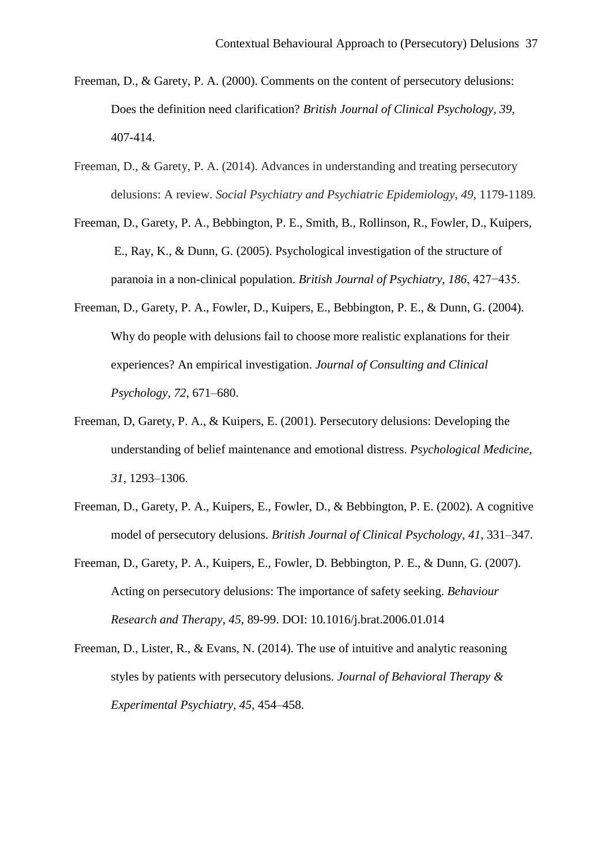- Freeman, D., & Garety, P. A. (2000). Comments on the content of persecutory delusions: Does the definition need clarification? *British Journal of Clinical Psychology, 39,*  407-414.
- Freeman, D., & Garety, P. A. (2014). Advances in understanding and treating persecutory delusions: A review. *Social Psychiatry and Psychiatric Epidemiology*, *49*, 1179-1189.
- Freeman, D., Garety, P. A., Bebbington, P. E., Smith, B., Rollinson, R., Fowler, D., Kuipers, E., Ray, K., & Dunn, G. (2005). Psychological investigation of the structure of paranoia in a non-clinical population. *British Journal of Psychiatry, 186*, 427−435.
- Freeman, D., Garety, P. A., Fowler, D., Kuipers, E., Bebbington, P. E., & Dunn, G. (2004). Why do people with delusions fail to choose more realistic explanations for their experiences? An empirical investigation. *Journal of Consulting and Clinical Psychology, 72*, 671–680.
- Freeman, D, Garety, P. A., & Kuipers, E. (2001). Persecutory delusions: Developing the understanding of belief maintenance and emotional distress. *Psychological Medicine*, *31*, 1293–1306.
- Freeman, D., Garety, P. A., Kuipers, E., Fowler, D., & Bebbington, P. E. (2002). A cognitive model of persecutory delusions. *British Journal of Clinical Psychology, 41*, 331–347.
- Freeman, D., Garety, P. A., Kuipers, E., Fowler, D. Bebbington, P. E., & Dunn, G. (2007). Acting on persecutory delusions: The importance of safety seeking. *Behaviour Research and Therapy, 45,* 89-99. DOI: 10.1016/j.brat.2006.01.014
- Freeman, D., Lister, R., & Evans, N. (2014). The use of intuitive and analytic reasoning styles by patients with persecutory delusions. *Journal of Behavioral Therapy & Experimental Psychiatry, 45*, 454–458.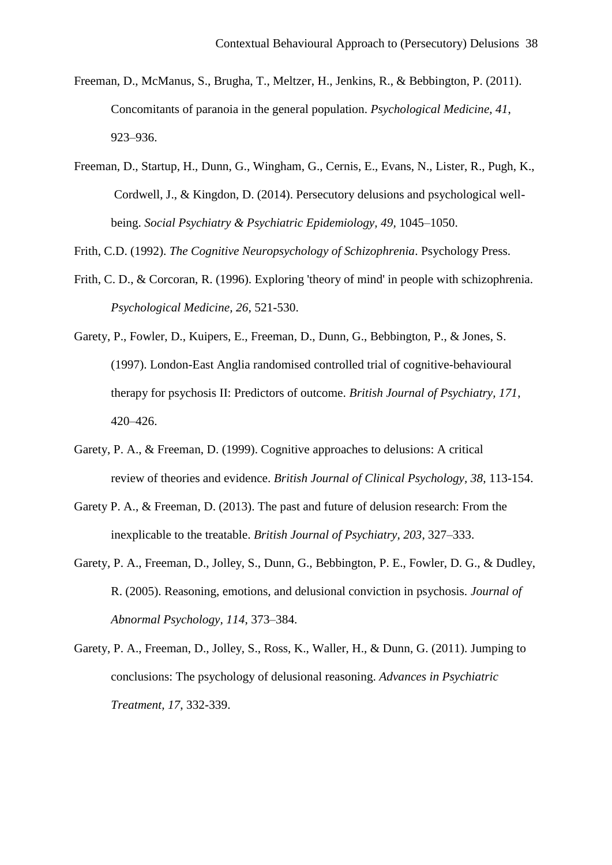- Freeman, D., McManus, S., Brugha, T., Meltzer, H., Jenkins, R., & Bebbington, P. (2011). Concomitants of paranoia in the general population. *Psychological Medicine, 41*, 923–936.
- Freeman, D., Startup, H., Dunn, G., Wingham, G., Cernis, E., Evans, N., Lister, R., Pugh, K., Cordwell, J., & Kingdon, D. (2014). Persecutory delusions and psychological wellbeing. *Social Psychiatry & Psychiatric Epidemiology, 49,* 1045–1050.

Frith, C.D. (1992). *The Cognitive Neuropsychology of Schizophrenia*. Psychology Press.

- Frith, C. D., & Corcoran, R. (1996). Exploring 'theory of mind' in people with schizophrenia. *Psychological Medicine, 26*, 521-530.
- Garety, P., Fowler, D., Kuipers, E., Freeman, D., Dunn, G., Bebbington, P., & Jones, S. (1997). London-East Anglia randomised controlled trial of cognitive-behavioural therapy for psychosis II: Predictors of outcome. *British Journal of Psychiatry, 171*, 420–426.
- Garety, P. A., & Freeman, D. (1999). Cognitive approaches to delusions: A critical review of theories and evidence. *British Journal of Clinical Psychology, 38,* 113-154.
- Garety P. A., & Freeman, D. (2013). The past and future of delusion research: From the inexplicable to the treatable. *British Journal of Psychiatry, 203*, 327–333.
- Garety, P. A., Freeman, D., Jolley, S., Dunn, G., Bebbington, P. E., Fowler, D. G., & Dudley, R. (2005). Reasoning, emotions, and delusional conviction in psychosis. *Journal of Abnormal Psychology, 114*, 373–384.
- Garety, P. A., Freeman, D., Jolley, S., Ross, K., Waller, H., & Dunn, G. (2011). Jumping to conclusions: The psychology of delusional reasoning. *Advances in Psychiatric Treatment, 17*, 332-339.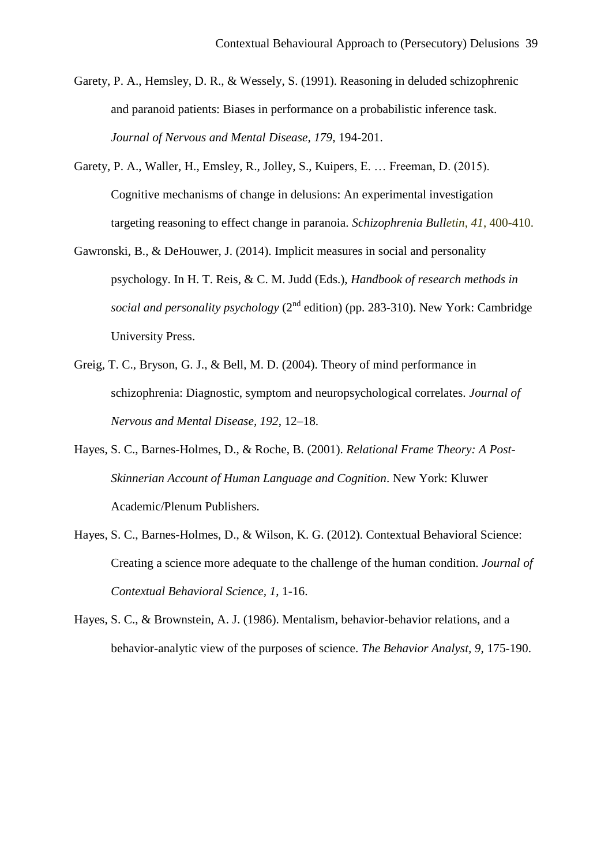- Garety, P. A., Hemsley, D. R., & Wessely, S. (1991). Reasoning in deluded schizophrenic and paranoid patients: Biases in performance on a probabilistic inference task. *Journal of Nervous and Mental Disease, 179,* 194-201.
- Garety, P. A., Waller, H., Emsley, R., Jolley, S., Kuipers, E. … Freeman, D. (2015). Cognitive mechanisms of change in delusions: An experimental investigation targeting reasoning to effect change in paranoia. *Schizophrenia Bulletin, 41*, 400-410.
- Gawronski, B., & DeHouwer, J. (2014). Implicit measures in social and personality psychology. In H. T. Reis, & C. M. Judd (Eds.), *Handbook of research methods in social and personality psychology* (2<sup>nd</sup> edition) (pp. 283-310). New York: Cambridge University Press.
- Greig, T. C., Bryson, G. J., & Bell, M. D. (2004). Theory of mind performance in schizophrenia: Diagnostic, symptom and neuropsychological correlates. *Journal of Nervous and Mental Disease, 192*, 12–18.
- Hayes, S. C., Barnes-Holmes, D., & Roche, B. (2001). *Relational Frame Theory: A Post-Skinnerian Account of Human Language and Cognition*. New York: Kluwer Academic/Plenum Publishers.
- Hayes, S. C., Barnes-Holmes, D., & Wilson, K. G. (2012). Contextual Behavioral Science: Creating a science more adequate to the challenge of the human condition*. Journal of Contextual Behavioral Science, 1*, 1-16.
- Hayes, S. C., & Brownstein, A. J. (1986). Mentalism, behavior-behavior relations, and a behavior-analytic view of the purposes of science. *The Behavior Analyst, 9,* 175-190.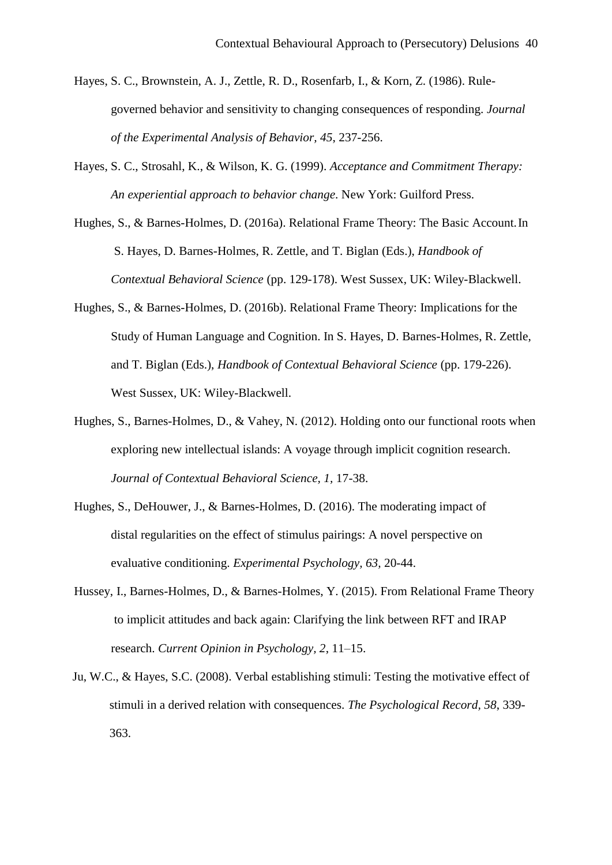- Hayes, S. C., Brownstein, A. J., Zettle, R. D., Rosenfarb, I., & Korn, Z. (1986). Rulegoverned behavior and sensitivity to changing consequences of responding. *Journal of the Experimental Analysis of Behavior, 45*, 237-256.
- Hayes, S. C., Strosahl, K., & Wilson, K. G. (1999). *Acceptance and Commitment Therapy: An experiential approach to behavior change*. New York: Guilford Press.
- Hughes, S., & Barnes-Holmes, D. (2016a). Relational Frame Theory: The Basic Account.In S. Hayes, D. Barnes-Holmes, R. Zettle, and T. Biglan (Eds.), *Handbook of Contextual Behavioral Science* (pp. 129-178). West Sussex, UK: Wiley-Blackwell.
- Hughes, S., & Barnes-Holmes, D. (2016b). Relational Frame Theory: Implications for the Study of Human Language and Cognition. In S. Hayes, D. Barnes-Holmes, R. Zettle, and T. Biglan (Eds.), *Handbook of Contextual Behavioral Science* (pp. 179-226). West Sussex, UK: Wiley-Blackwell.
- Hughes, S., Barnes-Holmes, D., & Vahey, N. (2012). Holding onto our functional roots when exploring new intellectual islands: A voyage through implicit cognition research. *Journal of Contextual Behavioral Science, 1,* 17-38.
- Hughes, S., DeHouwer, J., & Barnes-Holmes, D. (2016). The moderating impact of distal regularities on the effect of stimulus pairings: A novel perspective on evaluative conditioning. *Experimental Psychology, 63,* 20-44.
- Hussey, I., Barnes-Holmes, D., & Barnes-Holmes, Y. (2015). From Relational Frame Theory to implicit attitudes and back again: Clarifying the link between RFT and IRAP research. *Current Opinion in Psychology, 2*, 11–15.
- Ju, W.C., & Hayes, S.C. (2008). Verbal establishing stimuli: Testing the motivative effect of stimuli in a derived relation with consequences. *The Psychological Record, 58*, 339- 363.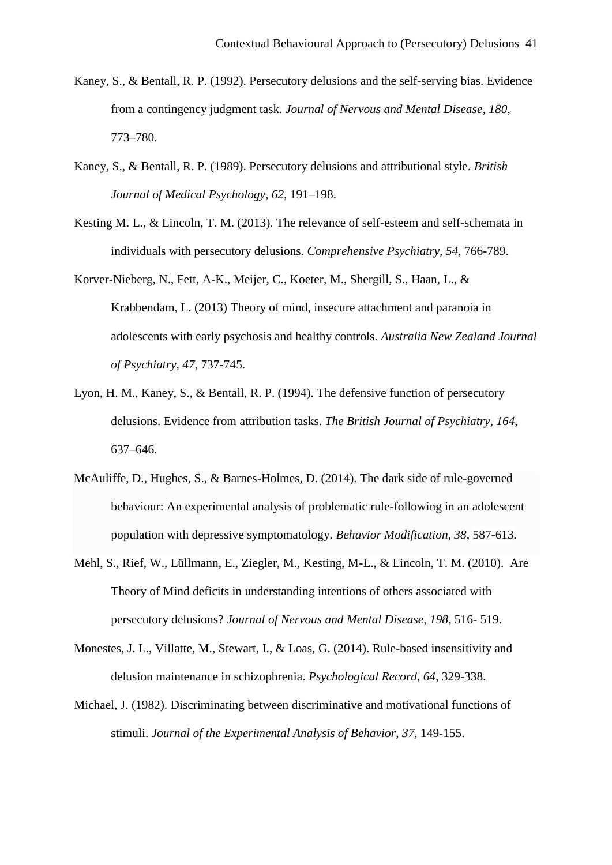- Kaney, S., & Bentall, R. P. (1992). Persecutory delusions and the self-serving bias. Evidence from a contingency judgment task. *Journal of Nervous and Mental Disease*, *180*, 773–780.
- Kaney, S., & Bentall, R. P. (1989). Persecutory delusions and attributional style. *British Journal of Medical Psychology*, *62*, 191–198.
- Kesting M. L., & Lincoln, T. M. (2013). The relevance of self-esteem and self-schemata in individuals with persecutory delusions. *Comprehensive Psychiatry, 54,* 766-789.
- Korver-Nieberg, N., Fett, A-K., Meijer, C., Koeter, M., Shergill, S., Haan, L., & Krabbendam, L. (2013) Theory of mind, insecure attachment and paranoia in adolescents with early psychosis and healthy controls. *Australia New Zealand Journal of Psychiatry, 47*, 737-745.
- Lyon, H. M., Kaney, S., & Bentall, R. P. (1994). The defensive function of persecutory delusions. Evidence from attribution tasks. *The British Journal of Psychiatry*, *164*, 637–646.
- McAuliffe, D., Hughes, S., & Barnes-Holmes, D. (2014). The dark side of rule-governed behaviour: An experimental analysis of problematic rule-following in an adolescent population with depressive symptomatology. *Behavior Modification, 38*, 587-613*.*
- Mehl, S., Rief, W., Lüllmann, E., Ziegler, M., Kesting, M-L., & Lincoln, T. M. (2010). Are Theory of Mind deficits in understanding intentions of others associated with persecutory delusions? *Journal of Nervous and Mental Disease, 198*, 516- 519.
- Monestes, J. L., Villatte, M., Stewart, I., & Loas, G. (2014). Rule-based insensitivity and delusion maintenance in schizophrenia. *Psychological Record, 64*, 329-338.
- Michael, J. (1982). Discriminating between discriminative and motivational functions of stimuli. *Journal of the Experimental Analysis of Behavior*, *37,* 149-155.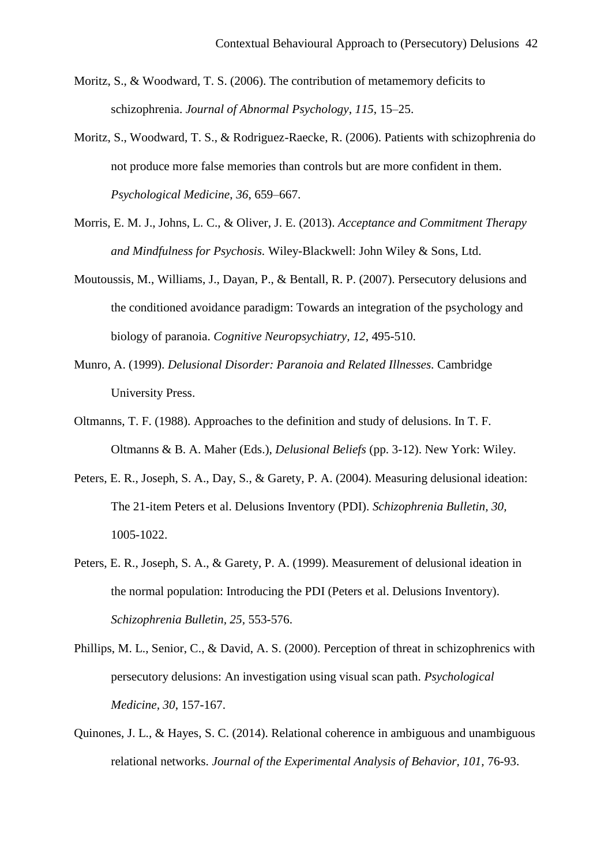- Moritz, S., & Woodward, T. S. (2006). The contribution of metamemory deficits to schizophrenia. *Journal of Abnormal Psychology*, *115*, 15–25.
- Moritz, S., Woodward, T. S., & Rodriguez-Raecke, R. (2006). Patients with schizophrenia do not produce more false memories than controls but are more confident in them. *Psychological Medicine*, *36*, 659–667.
- Morris, E. M. J., Johns, L. C., & Oliver, J. E. (2013). *Acceptance and Commitment Therapy and Mindfulness for Psychosis.* Wiley-Blackwell: John Wiley & Sons, Ltd.
- Moutoussis, M., Williams, J., Dayan, P., & Bentall, R. P. (2007). Persecutory delusions and the conditioned avoidance paradigm: Towards an integration of the psychology and biology of paranoia. *Cognitive Neuropsychiatry, 12*, 495-510.
- Munro, A. (1999). *Delusional Disorder: Paranoia and Related Illnesses.* Cambridge University Press.
- Oltmanns, T. F. (1988). Approaches to the definition and study of delusions. In T. F. Oltmanns & B. A. Maher (Eds.), *Delusional Beliefs* (pp. 3-12). New York: Wiley.
- Peters, E. R., Joseph, S. A., Day, S., & Garety, P. A. (2004). Measuring delusional ideation: The 21-item Peters et al. Delusions Inventory (PDI). *Schizophrenia Bulletin, 30,*  1005-1022.
- Peters, E. R., Joseph, S. A., & Garety, P. A. (1999). Measurement of delusional ideation in the normal population: Introducing the PDI (Peters et al. Delusions Inventory). *Schizophrenia Bulletin, 25,* 553-576.
- Phillips, M. L., Senior, C., & David, A. S. (2000). Perception of threat in schizophrenics with persecutory delusions: An investigation using visual scan path. *Psychological Medicine, 30*, 157-167.
- Quinones, J. L., & Hayes, S. C. (2014). Relational coherence in ambiguous and unambiguous relational networks. *Journal of the Experimental Analysis of Behavior, 101, 76-93.*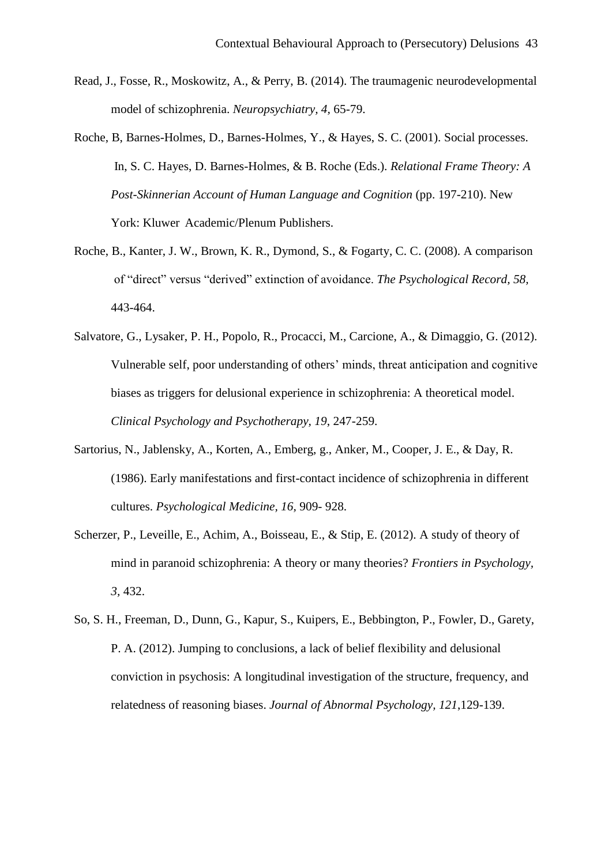- Read, J., Fosse, R., Moskowitz, A., & Perry, B. (2014). The traumagenic neurodevelopmental model of schizophrenia. *Neuropsychiatry, 4,* 65-79.
- Roche, B, Barnes-Holmes, D., Barnes-Holmes, Y., & Hayes, S. C. (2001). Social processes. In, S. C. Hayes, D. Barnes-Holmes, & B. Roche (Eds.). *Relational Frame Theory: A Post-Skinnerian Account of Human Language and Cognition* (pp. 197-210). New York: Kluwer Academic/Plenum Publishers.
- Roche, B., Kanter, J. W., Brown, K. R., Dymond, S., & Fogarty, C. C. (2008). A comparison of "direct" versus "derived" extinction of avoidance. *The Psychological Record, 58,*  443-464.
- Salvatore, G., Lysaker, P. H., Popolo, R., Procacci, M., Carcione, A., & Dimaggio, G. (2012). Vulnerable self, poor understanding of others' minds, threat anticipation and cognitive biases as triggers for delusional experience in schizophrenia: A theoretical model. *Clinical Psychology and Psychotherapy, 19*, 247-259.
- Sartorius, N., Jablensky, A., Korten, A., Emberg, g., Anker, M., Cooper, J. E., & Day, R. (1986). Early manifestations and first-contact incidence of schizophrenia in different cultures. *Psychological Medicine, 16,* 909- 928.
- Scherzer, P., Leveille, E., Achim, A., Boisseau, E., & Stip, E. (2012). A study of theory of mind in paranoid schizophrenia: A theory or many theories? *Frontiers in Psychology, 3,* 432.
- So, S. H., Freeman, D., Dunn, G., Kapur, S., Kuipers, E., Bebbington, P., Fowler, D., Garety, P. A. (2012). Jumping to conclusions, a lack of belief flexibility and delusional conviction in psychosis: A longitudinal investigation of the structure, frequency, and relatedness of reasoning biases. *Journal of Abnormal Psychology, 121*,129-139.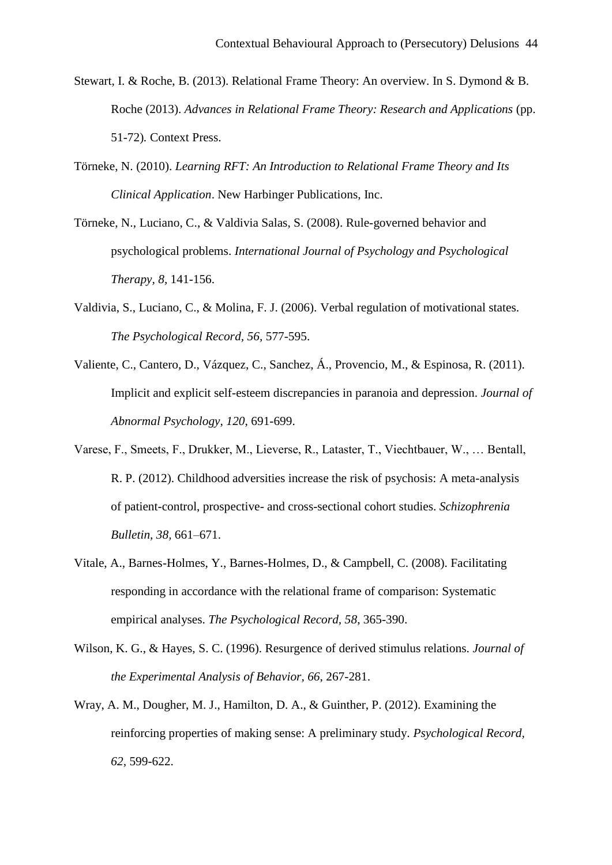- Stewart, I. & Roche, B. (2013). Relational Frame Theory: An overview. In S. Dymond & B. Roche (2013). *Advances in Relational Frame Theory: Research and Applications* (pp. 51-72)*.* Context Press.
- Törneke, N. (2010). *Learning RFT: An Introduction to Relational Frame Theory and Its Clinical Application*. New Harbinger Publications, Inc.
- Törneke, N., Luciano, C., & Valdivia Salas, S. (2008). Rule-governed behavior and psychological problems. *International Journal of Psychology and Psychological Therapy, 8*, 141-156.
- Valdivia, S., Luciano, C., & Molina, F. J. (2006). Verbal regulation of motivational states. *The Psychological Record, 56,* 577-595.
- Valiente, C., Cantero, D., Vázquez, C., Sanchez, Á., Provencio, M., & Espinosa, R. (2011). Implicit and explicit self-esteem discrepancies in paranoia and depression. *Journal of Abnormal Psychology, 120*, 691-699.
- Varese, F., Smeets, F., Drukker, M., Lieverse, R., Lataster, T., Viechtbauer, W., … Bentall, R. P. (2012). Childhood adversities increase the risk of psychosis: A meta-analysis of patient-control, prospective- and cross-sectional cohort studies. *Schizophrenia Bulletin, 38,* 661–671.
- Vitale, A., Barnes-Holmes, Y., Barnes-Holmes, D., & Campbell, C. (2008). Facilitating responding in accordance with the relational frame of comparison: Systematic empirical analyses. *The Psychological Record, 58*, 365-390.
- Wilson, K. G., & Hayes, S. C. (1996). Resurgence of derived stimulus relations. *Journal of the Experimental Analysis of Behavior, 66*, 267-281.
- Wray, A. M., Dougher, M. J., Hamilton, D. A., & Guinther, P. (2012). Examining the reinforcing properties of making sense: A preliminary study. *Psychological Record, 62,* 599-622.